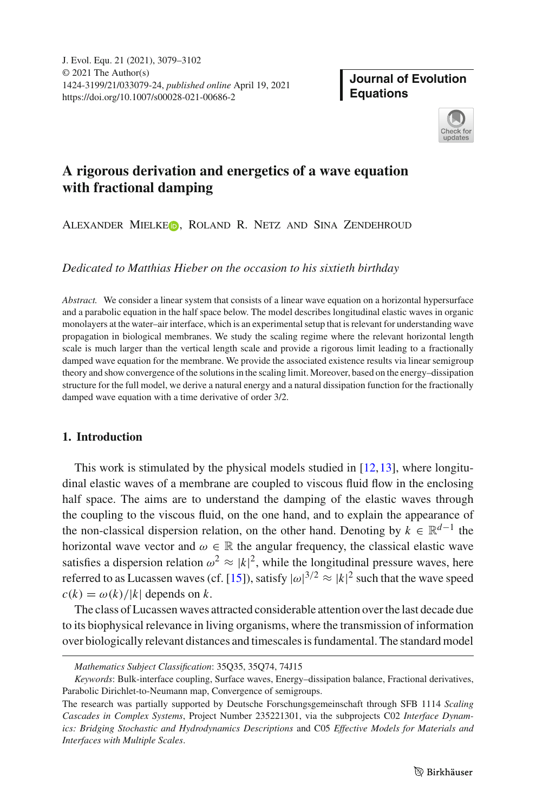# **Journal of Evolution Equations**



# **A rigorous derivation and energetics of a wave equation with fractional damping**

# ALEXANDER MIELKEO, ROLAND R. NETZ AND SINA ZENDEHROUD

*Dedicated to Matthias Hieber on the occasion to his sixtieth birthday*

*Abstract.* We consider a linear system that consists of a linear wave equation on a horizontal hypersurface and a parabolic equation in the half space below. The model describes longitudinal elastic waves in organic monolayers at the water–air interface, which is an experimental setup that is relevant for understanding wave propagation in biological membranes. We study the scaling regime where the relevant horizontal length scale is much larger than the vertical length scale and provide a rigorous limit leading to a fractionally damped wave equation for the membrane. We provide the associated existence results via linear semigroup theory and show convergence of the solutions in the scaling limit. Moreover, based on the energy–dissipation structure for the full model, we derive a natural energy and a natural dissipation function for the fractionally damped wave equation with a time derivative of order 3/2.

## **1. Introduction**

This work is stimulated by the physical models studied in  $[12,13]$  $[12,13]$  $[12,13]$ , where longitudinal elastic waves of a membrane are coupled to viscous fluid flow in the enclosing half space. The aims are to understand the damping of the elastic waves through the coupling to the viscous fluid, on the one hand, and to explain the appearance of the non-classical dispersion relation, on the other hand. Denoting by  $k \in \mathbb{R}^{d-1}$  the horizontal wave vector and  $\omega \in \mathbb{R}$  the angular frequency, the classical elastic wave satisfies a dispersion relation  $\omega^2 \approx |k|^2$ , while the longitudinal pressure waves, here referred to as Lucassen waves (cf. [\[15\]](#page-22-2)), satisfy  $|\omega|^{3/2} \approx |k|^2$  such that the wave speed  $c(k) = \omega(k)/|k|$  depends on *k*.

The class of Lucassen waves attracted considerable attention over the last decade due to its biophysical relevance in living organisms, where the transmission of information over biologically relevant distances and timescales is fundamental. The standard model

*Mathematics Subject Classification*: 35Q35, 35Q74, 74J15

*Keywords*: Bulk-interface coupling, Surface waves, Energy–dissipation balance, Fractional derivatives, Parabolic Dirichlet-to-Neumann map, Convergence of semigroups.

The research was partially supported by Deutsche Forschungsgemeinschaft through SFB 1114 *Scaling Cascades in Complex Systems*, Project Number 235221301, via the subprojects C02 *Interface Dynamics: Bridging Stochastic and Hydrodynamics Descriptions* and C05 *Effective Models for Materials and Interfaces with Multiple Scales*.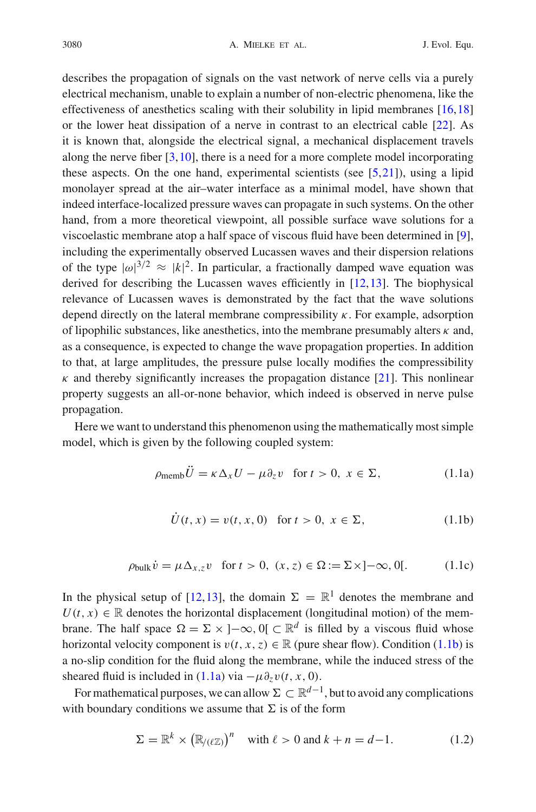describes the propagation of signals on the vast network of nerve cells via a purely electrical mechanism, unable to explain a number of non-electric phenomena, like the effectiveness of anesthetics scaling with their solubility in lipid membranes [\[16](#page-22-3)[,18](#page-23-0)] or the lower heat dissipation of a nerve in contrast to an electrical cable [\[22\]](#page-23-1). As it is known that, alongside the electrical signal, a mechanical displacement travels along the nerve fiber [\[3,](#page-22-4)[10\]](#page-22-5), there is a need for a more complete model incorporating these aspects. On the one hand, experimental scientists (see  $[5,21]$  $[5,21]$  $[5,21]$ ), using a lipid monolayer spread at the air–water interface as a minimal model, have shown that indeed interface-localized pressure waves can propagate in such systems. On the other hand, from a more theoretical viewpoint, all possible surface wave solutions for a viscoelastic membrane atop a half space of viscous fluid have been determined in [\[9\]](#page-22-7), including the experimentally observed Lucassen waves and their dispersion relations of the type  $|\omega|^{3/2} \approx |k|^2$ . In particular, a fractionally damped wave equation was derived for describing the Lucassen waves efficiently in [\[12](#page-22-0)[,13](#page-22-1)]. The biophysical relevance of Lucassen waves is demonstrated by the fact that the wave solutions depend directly on the lateral membrane compressibility  $\kappa$ . For example, adsorption of lipophilic substances, like anesthetics, into the membrane presumably alters  $\kappa$  and, as a consequence, is expected to change the wave propagation properties. In addition to that, at large amplitudes, the pressure pulse locally modifies the compressibility  $\kappa$  and thereby significantly increases the propagation distance [\[21](#page-23-2)]. This nonlinear property suggests an all-or-none behavior, which indeed is observed in nerve pulse propagation.

Here we want to understand this phenomenon using the mathematically most simple model, which is given by the following coupled system:

$$
\rho_{\text{memb}}U = \kappa \Delta_x U - \mu \partial_z v \quad \text{for } t > 0, \ x \in \Sigma,
$$
 (1.1a)

<span id="page-1-3"></span><span id="page-1-2"></span><span id="page-1-1"></span><span id="page-1-0"></span>
$$
\dot{U}(t, x) = v(t, x, 0) \text{ for } t > 0, x \in \Sigma,
$$
\n(1.1b)

$$
\rho_{\text{bulk}}\,\dot{v} = \mu \,\Delta_{x,z} v \quad \text{for } t > 0, \ (x, z) \in \Omega := \Sigma \times ]-\infty, \, 0[. \tag{1.1c}
$$

In the physical setup of [\[12,](#page-22-0)[13\]](#page-22-1), the domain  $\Sigma = \mathbb{R}^1$  denotes the membrane and  $U(t, x) \in \mathbb{R}$  denotes the horizontal displacement (longitudinal motion) of the membrane. The half space  $\Omega = \Sigma \times [-\infty, 0] \subset \mathbb{R}^d$  is filled by a viscous fluid whose horizontal velocity component is  $v(t, x, z) \in \mathbb{R}$  (pure shear flow). Condition [\(1.1b\)](#page-1-0) is a no-slip condition for the fluid along the membrane, while the induced stress of the sheared fluid is included in  $(1.1a)$  via  $-\mu \partial_z v(t, x, 0)$ .

For mathematical purposes, we can allow  $\Sigma \subset \mathbb{R}^{d-1}$ , but to avoid any complications with boundary conditions we assume that  $\Sigma$  is of the form

<span id="page-1-4"></span>
$$
\Sigma = \mathbb{R}^k \times (\mathbb{R}_{/(\ell\mathbb{Z})})^n \quad \text{with } \ell > 0 \text{ and } k + n = d - 1. \tag{1.2}
$$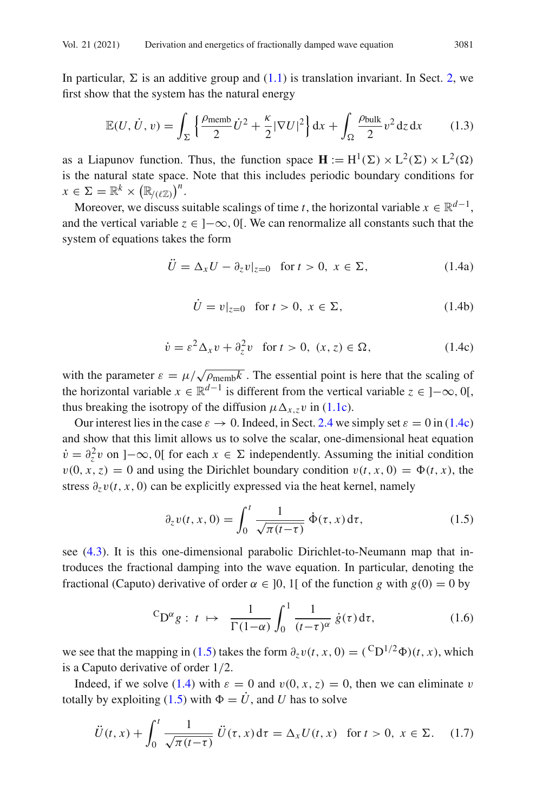In particular,  $\Sigma$  is an additive group and [\(1.1\)](#page-1-2) is translation invariant. In Sect. [2,](#page-4-0) we first show that the system has the natural energy

<span id="page-2-4"></span>
$$
\mathbb{E}(U, \dot{U}, v) = \int_{\Sigma} \left\{ \frac{\rho_{\text{memb}}}{2} \dot{U}^2 + \frac{\kappa}{2} |\nabla U|^2 \right\} dx + \int_{\Omega} \frac{\rho_{\text{bulk}}}{2} v^2 dz dx \qquad (1.3)
$$

as a Liapunov function. Thus, the function space  $\mathbf{H} := H^1(\Sigma) \times L^2(\Sigma) \times L^2(\Omega)$ is the natural state space. Note that this includes periodic boundary conditions for  $x \in \Sigma = \mathbb{R}^k \times (\mathbb{R}_{/(\ell \mathbb{Z})})^n$ .

Moreover, we discuss suitable scalings of time *t*, the horizontal variable  $x \in \mathbb{R}^{d-1}$ , and the vertical variable  $z \in ]-\infty, 0[$ . We can renormalize all constants such that the system of equations takes the form

<span id="page-2-2"></span>
$$
\ddot{U} = \Delta_x U - \partial_z v|_{z=0} \quad \text{for } t > 0, \ x \in \Sigma,
$$
\n(1.4a)

<span id="page-2-0"></span>
$$
\dot{U} = v|_{z=0} \quad \text{for } t > 0, \ x \in \Sigma,
$$
\n(1.4b)

$$
\dot{v} = \varepsilon^2 \Delta_x v + \partial_z^2 v \quad \text{for } t > 0, \ (x, z) \in \Omega,
$$
\n(1.4c)

with the parameter  $\varepsilon = \mu / \sqrt{\rho_{\text{memb}} k}$ . The essential point is here that the scaling of the horizontal variable  $x \in \mathbb{R}^{d-1}$  is different from the vertical variable  $z \in [-\infty, 0]$ , thus breaking the isotropy of the diffusion  $\mu \Delta_{x,z} v$  in [\(1.1c\)](#page-1-3).

Our interest lies in the case  $\varepsilon \to 0$ . Indeed, in Sect. [2.4](#page-7-0) we simply set  $\varepsilon = 0$  in [\(1.4c\)](#page-2-0) and show that this limit allows us to solve the scalar, one-dimensional heat equation  $\dot{v} = \partial_z^2 v$  on ] $-\infty$ , 0[ for each  $x \in \Sigma$  independently. Assuming the initial condition  $v(0, x, z) = 0$  and using the Dirichlet boundary condition  $v(t, x, 0) = \Phi(t, x)$ , the stress  $\partial_z v(t, x, 0)$  can be explicitly expressed via the heat kernel, namely

<span id="page-2-1"></span>
$$
\partial_z v(t, x, 0) = \int_0^t \frac{1}{\sqrt{\pi(t-\tau)}} \, \dot{\Phi}(\tau, x) \, d\tau,\tag{1.5}
$$

see [\(4.3\)](#page-16-0). It is this one-dimensional parabolic Dirichlet-to-Neumann map that introduces the fractional damping into the wave equation. In particular, denoting the fractional (Caputo) derivative of order  $\alpha \in [0, 1]$  of the function *g* with  $g(0) = 0$  by

<span id="page-2-5"></span>
$$
{}^{C}D^{\alpha}g: t \mapsto \frac{1}{\Gamma(1-\alpha)} \int_0^1 \frac{1}{(t-\tau)^{\alpha}} \dot{g}(\tau) d\tau, \qquad (1.6)
$$

we see that the mapping in [\(1.5\)](#page-2-1) takes the form  $\partial_z v(t, x, 0) = {^C D^{1/2} \Phi}(t, x)$ , which is a Caputo derivative of order 1/2.

Indeed, if we solve [\(1.4\)](#page-2-2) with  $\varepsilon = 0$  and  $v(0, x, z) = 0$ , then we can eliminate v totally by exploiting [\(1.5\)](#page-2-1) with  $\Phi = \dot{U}$ , and *U* has to solve

<span id="page-2-3"></span>
$$
\ddot{U}(t,x) + \int_0^t \frac{1}{\sqrt{\pi(t-\tau)}} \, \ddot{U}(\tau,x) \, \mathrm{d}\tau = \Delta_x U(t,x) \quad \text{for } t > 0, \ x \in \Sigma. \tag{1.7}
$$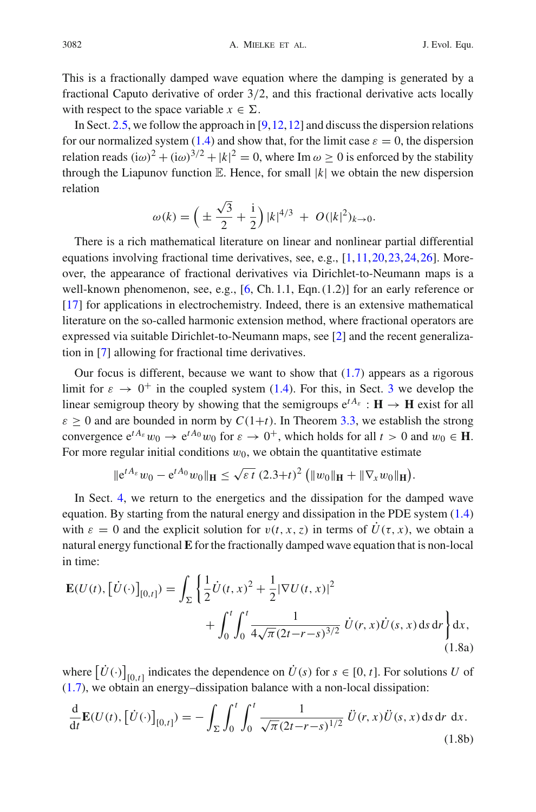This is a fractionally damped wave equation where the damping is generated by a fractional Caputo derivative of order 3/2, and this fractional derivative acts locally with respect to the space variable  $x \in \Sigma$ .

In Sect. [2.5,](#page-8-0) we follow the approach in  $[9,12,12]$  $[9,12,12]$  $[9,12,12]$  and discuss the dispersion relations for our normalized system [\(1.4\)](#page-2-2) and show that, for the limit case  $\varepsilon = 0$ , the dispersion relation reads  $(i\omega)^2 + (i\omega)^{3/2} + |k|^2 = 0$ , where Im  $\omega \ge 0$  is enforced by the stability through the Liapunov function  $E$ . Hence, for small  $|k|$  we obtain the new dispersion relation

$$
\omega(k) = \left(\pm \frac{\sqrt{3}}{2} + \frac{1}{2}\right) |k|^{4/3} + O(|k|^2)_{k \to 0}.
$$

There is a rich mathematical literature on linear and nonlinear partial differential equations involving fractional time derivatives, see, e.g.,  $[1,11,20,23,24,26]$  $[1,11,20,23,24,26]$  $[1,11,20,23,24,26]$  $[1,11,20,23,24,26]$  $[1,11,20,23,24,26]$  $[1,11,20,23,24,26]$  $[1,11,20,23,24,26]$ . Moreover, the appearance of fractional derivatives via Dirichlet-to-Neumann maps is a well-known phenomenon, see, e.g., [\[6](#page-22-10), Ch. 1.1, Eqn. (1.2)] for an early reference or [\[17](#page-23-7)] for applications in electrochemistry. Indeed, there is an extensive mathematical literature on the so-called harmonic extension method, where fractional operators are expressed via suitable Dirichlet-to-Neumann maps, see [\[2\]](#page-22-11) and the recent generalization in [\[7\]](#page-22-12) allowing for fractional time derivatives.

Our focus is different, because we want to show that  $(1.7)$  appears as a rigorous limit for  $\varepsilon \to 0^+$  in the coupled system [\(1.4\)](#page-2-2). For this, in Sect. [3](#page-9-0) we develop the linear semigroup theory by showing that the semigroups  $e^{tA_{\varepsilon}} : H \to H$  exist for all  $\varepsilon > 0$  and are bounded in norm by  $C(1+t)$ . In Theorem [3.3,](#page-14-0) we establish the strong convergence  $e^{tA_{\varepsilon}}w_0 \to e^{tA_0}w_0$  for  $\varepsilon \to 0^+$ , which holds for all  $t > 0$  and  $w_0 \in \mathbf{H}$ . For more regular initial conditions  $w_0$ , we obtain the quantitative estimate

$$
\|e^{tA_{\varepsilon}}w_0-e^{tA_0}w_0\|_{\mathbf{H}}\leq \sqrt{\varepsilon t} (2.3+t)^2 \left(\|w_0\|_{\mathbf{H}}+\|\nabla_x w_0\|_{\mathbf{H}}\right).
$$

In Sect. [4,](#page-15-0) we return to the energetics and the dissipation for the damped wave equation. By starting from the natural energy and dissipation in the PDE system [\(1.4\)](#page-2-2) with  $\varepsilon = 0$  and the explicit solution for  $v(t, x, z)$  in terms of  $\dot{U}(\tau, x)$ , we obtain a natural energy functional **E** for the fractionally damped wave equation that is non-local in time:

<span id="page-3-0"></span>
$$
\mathbf{E}(U(t), [\dot{U}(\cdot)]_{[0,t]}) = \int_{\Sigma} \left\{ \frac{1}{2} \dot{U}(t,x)^2 + \frac{1}{2} |\nabla U(t,x)|^2 + \int_0^t \int_0^t \frac{1}{4\sqrt{\pi}(2t-r-s)^{3/2}} \dot{U}(r,x) \dot{U}(s,x) ds dr \right\} dx,
$$
\n(1.8a)

where  $[U(\cdot)]_{[0,t]}$  indicates the dependence on  $U(s)$  for  $s \in [0, t]$ . For solutions *U* of [\(1.7\)](#page-2-3), we obtain an energy–dissipation balance with a non-local dissipation:

$$
\frac{\mathrm{d}}{\mathrm{d}t} \mathbf{E}(U(t), [\dot{U}(\cdot)]_{[0,t]}) = -\int_{\Sigma} \int_0^t \int_0^t \frac{1}{\sqrt{\pi} (2t - r - s)^{1/2}} \, \ddot{U}(r, x) \ddot{U}(s, x) \, \mathrm{d}s \, \mathrm{d}r \, \mathrm{d}x. \tag{1.8b}
$$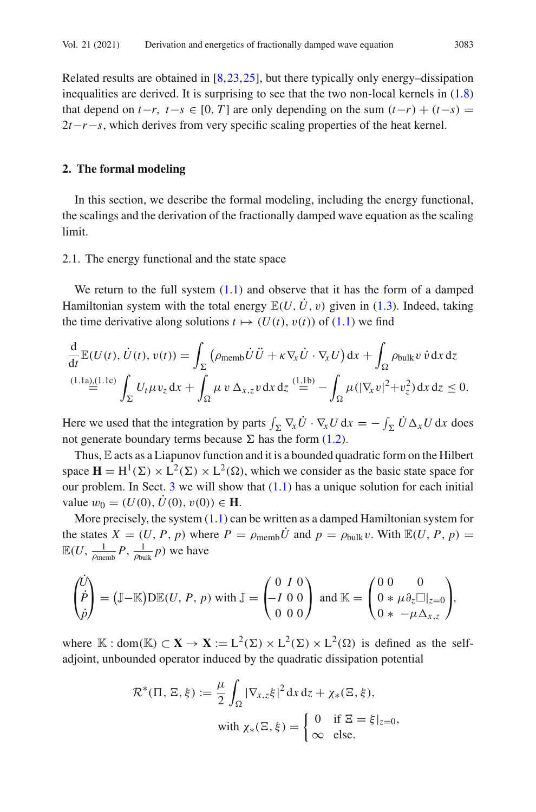Related results are obtained in [\[8](#page-22-13)[,23](#page-23-4),[25\]](#page-23-8), but there typically only energy–dissipation inequalities are derived. It is surprising to see that the two non-local kernels in [\(1.8\)](#page-3-0) that depend on  $t-r$ ,  $t-s \in [0, T]$  are only depending on the sum  $(t-r) + (t-s) =$ 2*t*−*r*−*s*, which derives from very specific scaling properties of the heat kernel.

#### <span id="page-4-0"></span>**2. The formal modeling**

In this section, we describe the formal modeling, including the energy functional, the scalings and the derivation of the fractionally damped wave equation as the scaling limit.

#### 2.1. The energy functional and the state space

We return to the full system  $(1.1)$  and observe that it has the form of a damped Hamiltonian system with the total energy  $\mathbb{E}(U, \dot{U}, v)$  given in [\(1.3\)](#page-2-4). Indeed, taking the time derivative along solutions  $t \mapsto (U(t), v(t))$  of [\(1.1\)](#page-1-2) we find

$$
\frac{d}{dt} \mathbb{E}(U(t), \dot{U}(t), v(t)) = \int_{\Sigma} \left( \rho_{\text{memb}} \dot{U} \ddot{U} + \kappa \nabla_x \dot{U} \cdot \nabla_x U \right) dx + \int_{\Omega} \rho_{\text{bulk}} v \dot{v} dx dz
$$
\n
$$
\stackrel{(1.1a),(1.1c)}{=} \int_{\Sigma} U_t \mu v_z dx + \int_{\Omega} \mu v \Delta_{x,z} v dx dz \stackrel{(1.1b)}{=} - \int_{\Omega} \mu (|\nabla_x v|^2 + v_z^2) dx dz \le 0.
$$

Here we used that the integration by parts  $\int_{\Sigma} \nabla_x U \cdot \nabla_x U dx = -\int_{\Sigma} U \Delta_x U dx$  does not generate boundary terms because  $\Sigma$  has the form [\(1.2\)](#page-1-4).

Thus, E acts as a Liapunov function and it is a bounded quadratic form on the Hilbert space  $\mathbf{H} = H^1(\Sigma) \times L^2(\Sigma) \times L^2(\Omega)$ , which we consider as the basic state space for our problem. In Sect. [3](#page-9-0) we will show that  $(1.1)$  has a unique solution for each initial value  $w_0 = (U(0), \dot{U}(0), v(0)) \in \mathbf{H}$ .

More precisely, the system  $(1.1)$  can be written as a damped Hamiltonian system for the states  $X = (U, P, p)$  where  $P = \rho_{\text{memb}} \dot{U}$  and  $p = \rho_{\text{bulk}} v$ . With  $\mathbb{E}(U, P, p) =$  $\mathbb{E}(U, \frac{1}{\rho_{\text{memb}}}P, \frac{1}{\rho_{\text{bulk}}}p)$  we have

$$
\begin{pmatrix} \dot{U} \\ \dot{P} \\ \dot{\rho} \end{pmatrix} = (\mathbb{J} - \mathbb{K})\mathcal{D}\mathbb{E}(U, P, p) \text{ with } \mathbb{J} = \begin{pmatrix} 0 & I & 0 \\ -I & 0 & 0 \\ 0 & 0 & 0 \end{pmatrix} \text{ and } \mathbb{K} = \begin{pmatrix} 0 & 0 & 0 \\ 0 * \mu \partial_z \Box_{z=0} \\ 0 * -\mu \Delta_{x,z} \end{pmatrix},
$$

where K : dom(K)  $\subset$  **X**  $\rightarrow$  **X** := L<sup>2</sup>( $\Sigma$ )  $\times$  L<sup>2</sup>( $\Sigma$ )  $\times$  L<sup>2</sup>( $\Omega$ ) is defined as the selfadjoint, unbounded operator induced by the quadratic dissipation potential

$$
\mathcal{R}^*(\Pi, \Xi, \xi) := \frac{\mu}{2} \int_{\Omega} |\nabla_{x,z} \xi|^2 dx dz + \chi_*(\Xi, \xi),
$$
  
with  $\chi_*(\Xi, \xi) = \begin{cases} 0 & \text{if } \Xi = \xi|_{z=0}, \\ \infty & \text{else.} \end{cases}$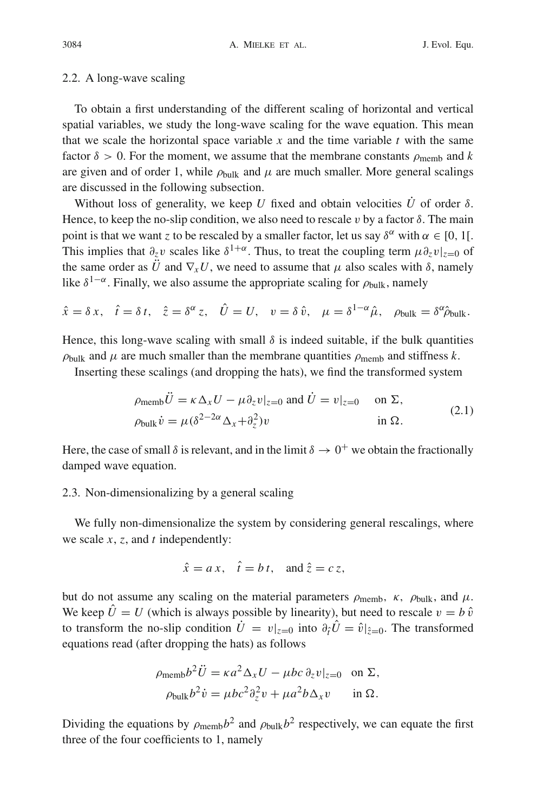#### 2.2. A long-wave scaling

To obtain a first understanding of the different scaling of horizontal and vertical spatial variables, we study the long-wave scaling for the wave equation. This mean that we scale the horizontal space variable  $x$  and the time variable  $t$  with the same factor  $\delta > 0$ . For the moment, we assume that the membrane constants  $\rho_{\text{memb}}$  and k are given and of order 1, while  $\rho_{\text{bulk}}$  and  $\mu$  are much smaller. More general scalings are discussed in the following subsection.

Without loss of generality, we keep *U* fixed and obtain velocities  $\dot{U}$  of order  $\delta$ . Hence, to keep the no-slip condition, we also need to rescale v by a factor  $\delta$ . The main point is that we want *z* to be rescaled by a smaller factor, let us say  $\delta^{\alpha}$  with  $\alpha \in [0, 1]$ . This implies that  $\partial_z v$  scales like  $\delta^{1+\alpha}$ . Thus, to treat the coupling term  $\mu \partial_z v|_{z=0}$  of the same order as  $\ddot{U}$  and  $\nabla_x U$ , we need to assume that  $\mu$  also scales with  $\delta$ , namely like  $\delta^{1-\alpha}$ . Finally, we also assume the appropriate scaling for  $\rho_{\text{bulk}}$ , namely

$$
\hat{x} = \delta x, \quad \hat{t} = \delta t, \quad \hat{z} = \delta^{\alpha} z, \quad \hat{U} = U, \quad v = \delta \hat{v}, \quad \mu = \delta^{1-\alpha} \hat{\mu}, \quad \rho_{\text{bulk}} = \delta^{\alpha} \hat{\rho}_{\text{bulk}}.
$$

Hence, this long-wave scaling with small  $\delta$  is indeed suitable, if the bulk quantities  $\rho_{\text{bulk}}$  and  $\mu$  are much smaller than the membrane quantities  $\rho_{\text{memb}}$  and stiffness k.

Inserting these scalings (and dropping the hats), we find the transformed system

$$
\rho_{\text{memb}} \ddot{U} = \kappa \Delta_x U - \mu \partial_z v|_{z=0} \text{ and } \dot{U} = v|_{z=0} \quad \text{on } \Sigma,
$$
  
\n
$$
\rho_{\text{bulk}} \dot{v} = \mu (\delta^{2-2\alpha} \Delta_x + \partial_z^2) v \qquad \text{in } \Omega.
$$
 (2.1)

Here, the case of small  $\delta$  is relevant, and in the limit  $\delta \to 0^+$  we obtain the fractionally damped wave equation.

## 2.3. Non-dimensionalizing by a general scaling

We fully non-dimensionalize the system by considering general rescalings, where we scale *x*, *z*, and *t* independently:

$$
\hat{x} = a x, \quad \hat{t} = b t, \text{ and } \hat{z} = c z,
$$

but do not assume any scaling on the material parameters  $\rho_{\text{memb}}$ ,  $\kappa$ ,  $\rho_{\text{bulk}}$ , and  $\mu$ . We keep  $\hat{U} = U$  (which is always possible by linearity), but need to rescale  $v = b \hat{v}$ to transform the no-slip condition  $U = v|_{z=0}$  into  $\partial_{\hat{t}}U = \hat{v}|_{\hat{z}=0}$ . The transformed equations read (after dropping the hats) as follows

$$
\rho_{\text{memb}} b^2 \ddot{U} = \kappa a^2 \Delta_x U - \mu b c \partial_z v|_{z=0} \text{ on } \Sigma,
$$
  

$$
\rho_{\text{bulk}} b^2 \dot{v} = \mu b c^2 \partial_z^2 v + \mu a^2 b \Delta_x v \text{ in } \Omega.
$$

Dividing the equations by  $\rho_{\text{memb}}b^2$  and  $\rho_{\text{bulk}}b^2$  respectively, we can equate the first three of the four coefficients to 1, namely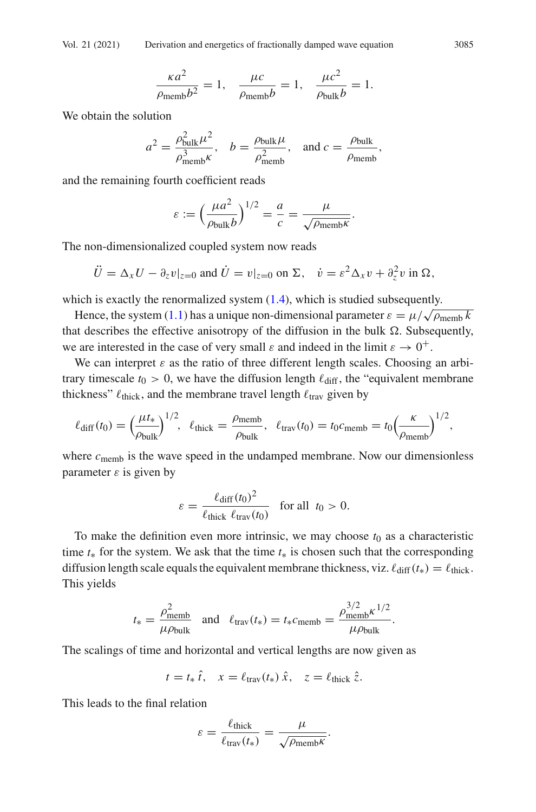$$
\frac{\kappa a^2}{\rho_{\text{memb}}b^2} = 1, \quad \frac{\mu c}{\rho_{\text{memb}}b} = 1, \quad \frac{\mu c^2}{\rho_{\text{bulk}}b} = 1.
$$

We obtain the solution

$$
a^2 = \frac{\rho_{\text{bulk}}^2 \mu^2}{\rho_{\text{memb}}^3 \kappa}, \quad b = \frac{\rho_{\text{bulk}} \mu}{\rho_{\text{memb}}^2}, \quad \text{and } c = \frac{\rho_{\text{bulk}}}{\rho_{\text{memb}}},
$$

and the remaining fourth coefficient reads

$$
\varepsilon := \left(\frac{\mu a^2}{\rho_{\text{bulk}}b}\right)^{1/2} = \frac{a}{c} = \frac{\mu}{\sqrt{\rho_{\text{memb}}\kappa}}.
$$

The non-dimensionalized coupled system now reads

$$
\ddot{U} = \Delta_x U - \partial_z v|_{z=0} \text{ and } \dot{U} = v|_{z=0} \text{ on } \Sigma, \quad \dot{v} = \varepsilon^2 \Delta_x v + \partial_z^2 v \text{ in } \Omega,
$$

which is exactly the renormalized system  $(1.4)$ , which is studied subsequently.

Hence, the system [\(1.1\)](#page-1-2) has a unique non-dimensional parameter  $\varepsilon = \mu/\sqrt{\rho_{\text{memb}} k}$ that describes the effective anisotropy of the diffusion in the bulk  $\Omega$ . Subsequently, we are interested in the case of very small  $\varepsilon$  and indeed in the limit  $\varepsilon \to 0^+$ .

We can interpret  $\varepsilon$  as the ratio of three different length scales. Choosing an arbitrary timescale  $t_0 > 0$ , we have the diffusion length  $\ell_{diff}$ , the "equivalent membrane thickness"  $\ell_{\text{thick}}$ , and the membrane travel length  $\ell_{\text{trav}}$  given by

$$
\ell_{\text{diff}}(t_0) = \left(\frac{\mu t_*}{\rho_{\text{bulk}}}\right)^{1/2}, \ \ \ell_{\text{thick}} = \frac{\rho_{\text{memb}}}{\rho_{\text{bulk}}}, \ \ \ell_{\text{trav}}(t_0) = t_0 c_{\text{memb}} = t_0 \left(\frac{\kappa}{\rho_{\text{memb}}}\right)^{1/2},
$$

where  $c$ <sub>memb</sub> is the wave speed in the undamped membrane. Now our dimensionless parameter  $\varepsilon$  is given by

$$
\varepsilon = \frac{\ell_{\text{diff}}(t_0)^2}{\ell_{\text{thick}} \ell_{\text{trav}}(t_0)} \quad \text{for all} \ \ t_0 > 0.
$$

To make the definition even more intrinsic, we may choose  $t_0$  as a characteristic time  $t<sub>*</sub>$  for the system. We ask that the time  $t<sub>*</sub>$  is chosen such that the corresponding diffusion length scale equals the equivalent membrane thickness, viz.  $\ell_{diff}(t_*) = \ell_{thick}$ . This yields

$$
t_* = \frac{\rho_{\text{memb}}^2}{\mu \rho_{\text{bulk}}}
$$
 and  $\ell_{\text{trav}}(t_*) = t_* c_{\text{memb}} = \frac{\rho_{\text{memb}}^{3/2} \kappa^{1/2}}{\mu \rho_{\text{bulk}}}$ .

The scalings of time and horizontal and vertical lengths are now given as

$$
t = t_* \hat{t}, \quad x = \ell_{\text{trav}}(t_*) \hat{x}, \quad z = \ell_{\text{thick}} \hat{z}.
$$

This leads to the final relation

$$
\varepsilon = \frac{\ell_{\text{thick}}}{\ell_{\text{trav}}(t_*)} = \frac{\mu}{\sqrt{\rho_{\text{memb}}\kappa}}.
$$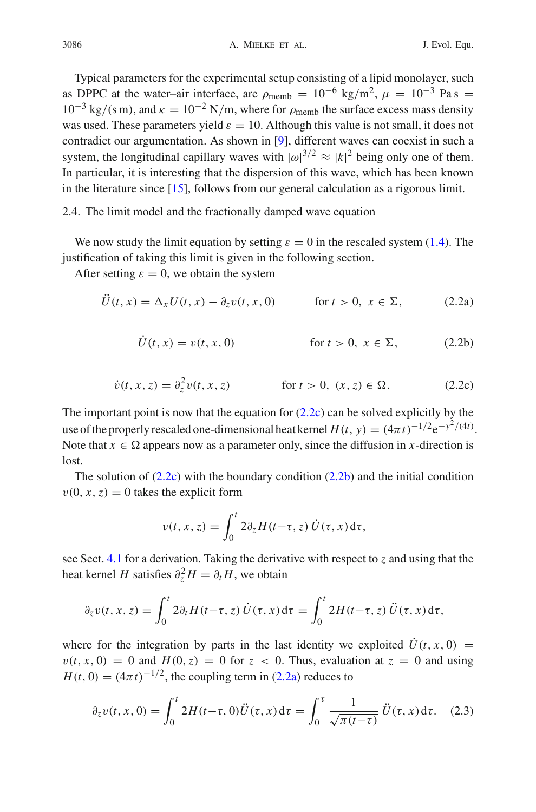Typical parameters for the experimental setup consisting of a lipid monolayer, such as DPPC at the water–air interface, are  $\rho_{\text{memb}} = 10^{-6} \text{ kg/m}^2$ ,  $\mu = 10^{-3} \text{ Pa s} =$  $10^{-3}$  kg/(s m), and  $\kappa = 10^{-2}$  N/m, where for  $\rho_{\text{memb}}$  the surface excess mass density was used. These parameters yield  $\varepsilon = 10$ . Although this value is not small, it does not contradict our argumentation. As shown in [\[9](#page-22-7)], different waves can coexist in such a system, the longitudinal capillary waves with  $|\omega|^{3/2} \approx |k|^2$  being only one of them. In particular, it is interesting that the dispersion of this wave, which has been known in the literature since [\[15\]](#page-22-2), follows from our general calculation as a rigorous limit.

## <span id="page-7-0"></span>2.4. The limit model and the fractionally damped wave equation

We now study the limit equation by setting  $\varepsilon = 0$  in the rescaled system [\(1.4\)](#page-2-2). The justification of taking this limit is given in the following section.

After setting  $\varepsilon = 0$ , we obtain the system

$$
\ddot{U}(t,x) = \Delta_x U(t,x) - \partial_z v(t,x,0) \qquad \text{for } t > 0, \ x \in \Sigma,
$$
 (2.2a)

<span id="page-7-5"></span><span id="page-7-3"></span><span id="page-7-2"></span><span id="page-7-1"></span>
$$
\dot{U}(t,x) = v(t,x,0) \qquad \text{for } t > 0, \ x \in \Sigma,
$$
 (2.2b)

$$
\dot{v}(t, x, z) = \partial_z^2 v(t, x, z) \qquad \text{for } t > 0, \ (x, z) \in \Omega. \tag{2.2c}
$$

The important point is now that the equation for  $(2.2c)$  can be solved explicitly by the use of the properly rescaled one-dimensional heat kernel  $H(t, y) = (4\pi t)^{-1/2} e^{-y^2/(4t)}$ . Note that  $x \in \Omega$  appears now as a parameter only, since the diffusion in *x*-direction is lost.

The solution of  $(2.2c)$  with the boundary condition  $(2.2b)$  and the initial condition  $v(0, x, z) = 0$  takes the explicit form

$$
v(t, x, z) = \int_0^t 2 \partial_z H(t-\tau, z) \dot{U}(\tau, x) d\tau,
$$

see Sect. [4.1](#page-15-1) for a derivation. Taking the derivative with respect to *z* and using that the heat kernel *H* satisfies  $\partial_z^2 H = \partial_t H$ , we obtain

$$
\partial_z v(t, x, z) = \int_0^t 2 \partial_t H(t - \tau, z) \dot{U}(\tau, x) d\tau = \int_0^t 2H(t - \tau, z) \ddot{U}(\tau, x) d\tau,
$$

where for the integration by parts in the last identity we exploited  $\dot{U}(t, x, 0) =$  $v(t, x, 0) = 0$  and  $H(0, z) = 0$  for  $z < 0$ . Thus, evaluation at  $z = 0$  and using  $H(t, 0) = (4\pi t)^{-1/2}$ , the coupling term in [\(2.2a\)](#page-7-3) reduces to

<span id="page-7-4"></span>
$$
\partial_z v(t, x, 0) = \int_0^t 2H(t-\tau, 0)\ddot{U}(\tau, x) d\tau = \int_0^{\tau} \frac{1}{\sqrt{\pi(t-\tau)}} \ddot{U}(\tau, x) d\tau. \quad (2.3)
$$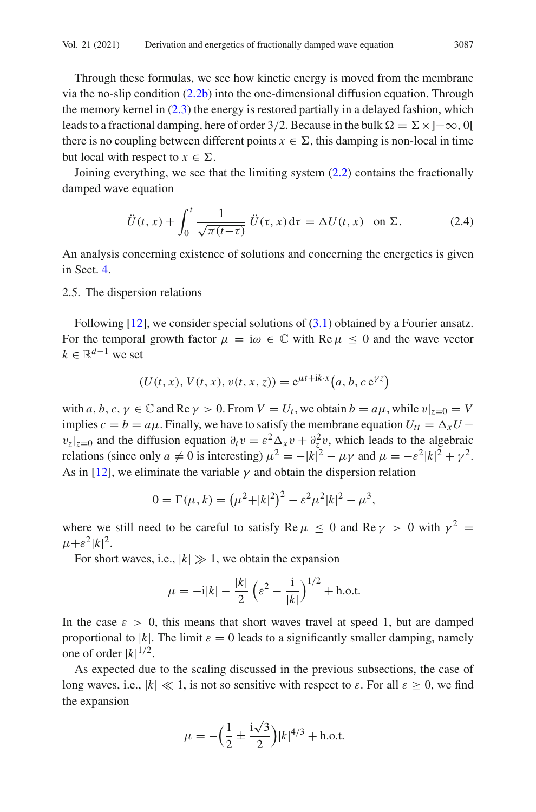Through these formulas, we see how kinetic energy is moved from the membrane via the no-slip condition  $(2.2b)$  into the one-dimensional diffusion equation. Through the memory kernel in  $(2.3)$  the energy is restored partially in a delayed fashion, which leads to a fractional damping, here of order 3/2. Because in the bulk  $\Omega = \Sigma \times [-\infty, 0]$ there is no coupling between different points  $x \in \Sigma$ , this damping is non-local in time but local with respect to  $x \in \Sigma$ .

Joining everything, we see that the limiting system [\(2.2\)](#page-7-5) contains the fractionally damped wave equation

<span id="page-8-1"></span>
$$
\ddot{U}(t,x) + \int_0^t \frac{1}{\sqrt{\pi(t-\tau)}} \, \ddot{U}(\tau,x) \, \mathrm{d}\tau = \Delta U(t,x) \quad \text{on } \Sigma. \tag{2.4}
$$

An analysis concerning existence of solutions and concerning the energetics is given in Sect. [4.](#page-15-0)

#### <span id="page-8-0"></span>2.5. The dispersion relations

Following  $[12]$  $[12]$ , we consider special solutions of  $(3.1)$  obtained by a Fourier ansatz. For the temporal growth factor  $\mu = i\omega \in \mathbb{C}$  with Re  $\mu \leq 0$  and the wave vector  $k \in \mathbb{R}^{d-1}$  we set

$$
(U(t, x), V(t, x), v(t, x, z)) = e^{\mu t + ik \cdot x} (a, b, c e^{\gamma z})
$$

with  $a, b, c, \gamma \in \mathbb{C}$  and  $\text{Re}\gamma > 0$ . From  $V = U_t$ , we obtain  $b = a\mu$ , while  $v|_{z=0} = V$ implies  $c = b = a\mu$ . Finally, we have to satisfy the membrane equation  $U_{tt} = \Delta_x U$  $v_z|_{z=0}$  and the diffusion equation  $\partial_t v = \varepsilon^2 \Delta_x v + \partial_z^2 v$ , which leads to the algebraic relations (since only  $a \neq 0$  is interesting)  $\mu^2 = -|k|^2 - \mu \gamma$  and  $\mu = -\varepsilon^2 |k|^2 + \gamma^2$ . As in [\[12](#page-22-0)], we eliminate the variable  $\gamma$  and obtain the dispersion relation

$$
0 = \Gamma(\mu, k) = (\mu^2 + |k|^2)^2 - \varepsilon^2 \mu^2 |k|^2 - \mu^3,
$$

where we still need to be careful to satisfy Re  $\mu \leq 0$  and Re  $\gamma > 0$  with  $\gamma^2 =$  $\mu+\varepsilon^2|k|^2.$ 

For short waves, i.e.,  $|k| \gg 1$ , we obtain the expansion

$$
\mu = -i|k| - \frac{|k|}{2} \left( \varepsilon^2 - \frac{i}{|k|} \right)^{1/2} + \text{h.o.t.}
$$

In the case  $\varepsilon > 0$ , this means that short waves travel at speed 1, but are damped proportional to |k|. The limit  $\varepsilon = 0$  leads to a significantly smaller damping, namely one of order  $|k|^{1/2}$ .

As expected due to the scaling discussed in the previous subsections, the case of long waves, i.e.,  $|k| \ll 1$ , is not so sensitive with respect to  $\varepsilon$ . For all  $\varepsilon \ge 0$ , we find the expansion

$$
\mu = -\left(\frac{1}{2} \pm \frac{i\sqrt{3}}{2}\right) |k|^{4/3} + \text{h.o.t.}
$$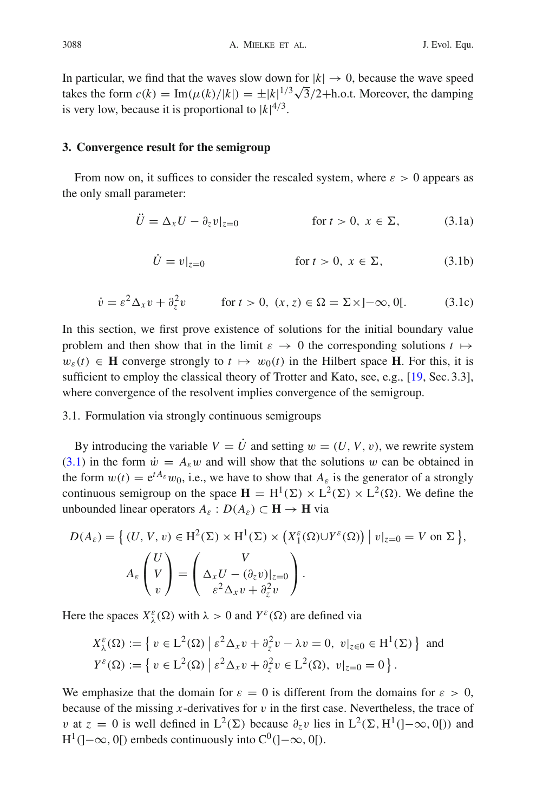In particular, we find that the waves slow down for  $|k| \to 0$ , because the wave speed takes the form  $c(k) = \text{Im}(\mu(k)/|k|) = \pm |k|^{1/3}\sqrt{3}/2 + \text{h.o.t. Moreover, the damping}$ is very low, because it is proportional to  $|k|^{4/3}$ .

#### <span id="page-9-0"></span>**3. Convergence result for the semigroup**

From now on, it suffices to consider the rescaled system, where  $\varepsilon > 0$  appears as the only small parameter:

<span id="page-9-1"></span>
$$
\ddot{U} = \Delta_x U - \partial_z v|_{z=0} \qquad \text{for } t > 0, \ x \in \Sigma,
$$
 (3.1a)

$$
\dot{U} = v|_{z=0} \qquad \text{for } t > 0, \ x \in \Sigma,
$$
 (3.1b)

$$
\dot{v} = \varepsilon^2 \Delta_x v + \partial_z^2 v \qquad \text{for } t > 0, \ (x, z) \in \Omega = \Sigma \times ]-\infty, 0[.
$$
 (3.1c)

In this section, we first prove existence of solutions for the initial boundary value problem and then show that in the limit  $\varepsilon \to 0$  the corresponding solutions  $t \mapsto$  $w_{\varepsilon}(t) \in \mathbf{H}$  converge strongly to  $t \mapsto w_0(t)$  in the Hilbert space **H**. For this, it is sufficient to employ the classical theory of Trotter and Kato, see, e.g., [\[19,](#page-23-9) Sec. 3.3], where convergence of the resolvent implies convergence of the semigroup.

## 3.1. Formulation via strongly continuous semigroups

By introducing the variable  $V = \dot{U}$  and setting  $w = (U, V, v)$ , we rewrite system [\(3.1\)](#page-9-1) in the form  $\dot{w} = A_{\varepsilon}w$  and will show that the solutions w can be obtained in the form  $w(t) = e^{t A_{\varepsilon}} w_0$ , i.e., we have to show that  $A_{\varepsilon}$  is the generator of a strongly continuous semigroup on the space  $\mathbf{H} = H^1(\Sigma) \times L^2(\Sigma) \times L^2(\Omega)$ . We define the unbounded linear operators  $A_{\varepsilon}: D(A_{\varepsilon}) \subset \mathbf{H} \to \mathbf{H}$  via

$$
D(A_{\varepsilon}) = \left\{ (U, V, v) \in H^{2}(\Sigma) \times H^{1}(\Sigma) \times (X_{1}^{\varepsilon}(\Omega) \cup Y^{\varepsilon}(\Omega)) \mid v|_{z=0} = V \text{ on } \Sigma \right\},\
$$

$$
A_{\varepsilon} \begin{pmatrix} U \\ V \\ v \end{pmatrix} = \begin{pmatrix} V \\ \Delta_{x}U - (\partial_{z}v)|_{z=0} \\ \varepsilon^{2}\Delta_{x}v + \partial_{z}^{2}v \end{pmatrix}.
$$

Here the spaces  $X_{\lambda}^{\varepsilon}(\Omega)$  with  $\lambda > 0$  and  $Y^{\varepsilon}(\Omega)$  are defined via

$$
X_{\lambda}^{\varepsilon}(\Omega) := \left\{ v \in L^{2}(\Omega) \, \middle| \, \varepsilon^{2} \Delta_{x} v + \partial_{z}^{2} v - \lambda v = 0, \ v \middle|_{z \in 0} \in H^{1}(\Sigma) \right\} \text{ and}
$$
  

$$
Y^{\varepsilon}(\Omega) := \left\{ v \in L^{2}(\Omega) \, \middle| \, \varepsilon^{2} \Delta_{x} v + \partial_{z}^{2} v \in L^{2}(\Omega), \ v \middle|_{z=0} = 0 \right\}.
$$

We emphasize that the domain for  $\varepsilon = 0$  is different from the domains for  $\varepsilon > 0$ , because of the missing *x*-derivatives for  $v$  in the first case. Nevertheless, the trace of v at  $\zeta = 0$  is well defined in  $L^2(\Sigma)$  because  $\partial_{\zeta} v$  lies in  $L^2(\Sigma, H^1(]-\infty, 0[))$  and  $H^1(]-\infty, 0[)$  embeds continuously into  $C^0([-0,\infty, 0[).$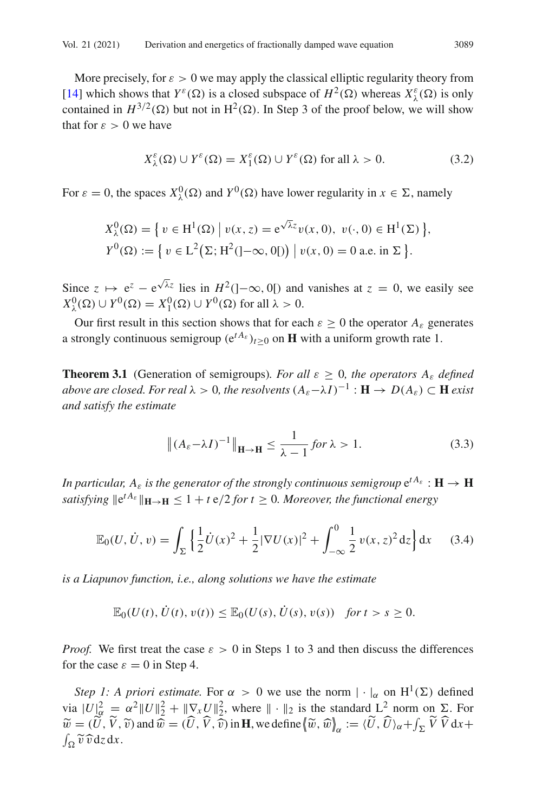More precisely, for  $\varepsilon > 0$  we may apply the classical elliptic regularity theory from [\[14](#page-22-14)] which shows that  $Y^{\varepsilon}(\Omega)$  is a closed subspace of  $H^2(\Omega)$  whereas  $X^{\varepsilon}_{\lambda}(\Omega)$  is only contained in  $H^{3/2}(\Omega)$  but not in  $H^2(\Omega)$ . In Step 3 of the proof below, we will show that for  $\varepsilon > 0$  we have

<span id="page-10-0"></span>
$$
X_{\lambda}^{\varepsilon}(\Omega) \cup Y^{\varepsilon}(\Omega) = X_1^{\varepsilon}(\Omega) \cup Y^{\varepsilon}(\Omega) \text{ for all } \lambda > 0.
$$
 (3.2)

For  $\varepsilon = 0$ , the spaces  $X^0_\lambda(\Omega)$  and  $Y^0(\Omega)$  have lower regularity in  $x \in \Sigma$ , namely

$$
X_{\lambda}^{0}(\Omega) = \{ v \in H^{1}(\Omega) \mid v(x, z) = e^{\sqrt{\lambda}z}v(x, 0), v(\cdot, 0) \in H^{1}(\Sigma) \},
$$
  

$$
Y^{0}(\Omega) := \{ v \in L^{2}(\Sigma; H^{2}(-\infty, 0[)) \mid v(x, 0) = 0 \text{ a.e. in } \Sigma \}.
$$

Since  $z \mapsto e^z - e^{\sqrt{\lambda}z}$  lies in  $H^2(]-\infty, 0[)$  and vanishes at  $z = 0$ , we easily see  $X^0_\lambda(\Omega) \cup Y^0(\Omega) = X^0_1(\Omega) \cup Y^0(\Omega)$  for all  $\lambda > 0$ .

<span id="page-10-1"></span>Our first result in this section shows that for each  $\varepsilon \geq 0$  the operator  $A_{\varepsilon}$  generates a strongly continuous semigroup  $(e^{tA_E})_{t>0}$  on **H** with a uniform growth rate 1.

**Theorem 3.1** (Generation of semigroups). For all  $\varepsilon \geq 0$ , the operators  $A_{\varepsilon}$  defined *above are closed. For real*  $\lambda > 0$ , the resolvents  $(A_{\varepsilon}-\lambda I)^{-1} : \mathbf{H} \to D(A_{\varepsilon}) \subset \mathbf{H}$  *exist and satisfy the estimate*

$$
\left\| (A_{\varepsilon} - \lambda I)^{-1} \right\|_{\mathbf{H} \to \mathbf{H}} \le \frac{1}{\lambda - 1} \text{ for } \lambda > 1.
$$
 (3.3)

*In particular,*  $A_{\varepsilon}$  *is the generator of the strongly continuous semigroup*  $e^{tA_{\varepsilon}}$  :  $H \to H$ *satisfying*  $\|e^{tA_{\varepsilon}}\|_{\mathbf{H}\to\mathbf{H}} \leq 1 + t \cdot e/2$  *for*  $t \geq 0$ *. Moreover, the functional energy* 

<span id="page-10-2"></span>
$$
\mathbb{E}_0(U, \dot{U}, v) = \int_{\Sigma} \left\{ \frac{1}{2} \dot{U}(x)^2 + \frac{1}{2} |\nabla U(x)|^2 + \int_{-\infty}^0 \frac{1}{2} v(x, z)^2 dz \right\} dx \tag{3.4}
$$

*is a Liapunov function, i.e., along solutions we have the estimate*

$$
\mathbb{E}_0(U(t),\dot{U}(t),v(t))\leq \mathbb{E}_0(U(s),\dot{U}(s),v(s)) \text{ for } t>s\geq 0.
$$

*Proof.* We first treat the case  $\varepsilon > 0$  in Steps 1 to 3 and then discuss the differences for the case  $\varepsilon = 0$  in Step 4.

*Step 1: A priori estimate.* For  $\alpha > 0$  we use the norm  $|\cdot|_{\alpha}$  on  $H^1(\Sigma)$  defined via  $|U|^2_{\alpha} = \alpha^2 ||U||^2 + ||\nabla_x U||^2$ , where  $|| \cdot ||_2$  is the standard  $L^2$  norm on  $\Sigma$ . For  $\widetilde{w} = (\widetilde{U}, \widetilde{V}, \widetilde{v})$  and  $\widehat{w} = (\widetilde{U}, \widetilde{V}, \widehat{v})$  in **H**, we define  $\langle \widetilde{w}, \widehat{w} \rangle_{\alpha} := \langle \widetilde{U}, \widetilde{U} \rangle_{\alpha} + \int_{\Sigma} \widetilde{V} \widetilde{V} \, dx +$  $\int_{\Omega} \widetilde{v} \widehat{v} \, \mathrm{d}z \, \mathrm{d}x.$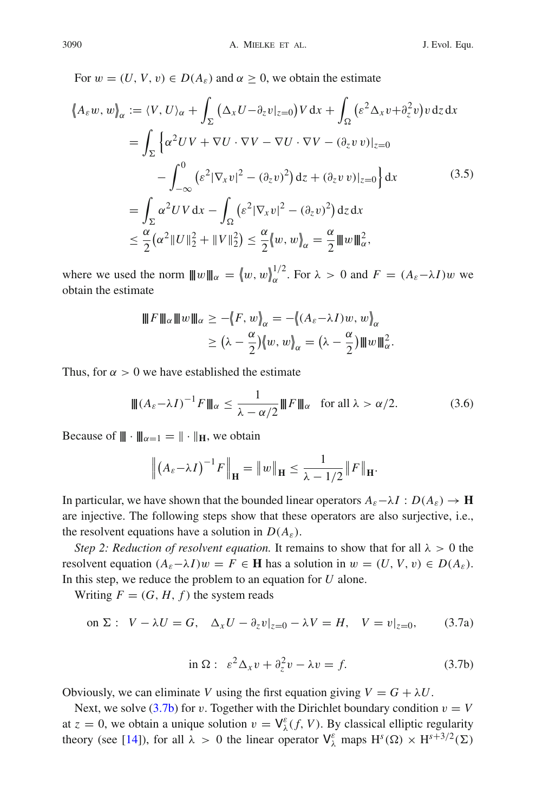For  $w = (U, V, v) \in D(A_{\varepsilon})$  and  $\alpha \geq 0$ , we obtain the estimate

<span id="page-11-2"></span>
$$
\langle A_{\varepsilon} w, w \rangle_{\alpha} := \langle V, U \rangle_{\alpha} + \int_{\Sigma} (\Delta_{x} U - \partial_{z} v|_{z=0}) V \, dx + \int_{\Omega} (\varepsilon^{2} \Delta_{x} v + \partial_{z}^{2} v) v \, dz \, dx
$$

$$
= \int_{\Sigma} \left\{ \alpha^{2} U V + \nabla U \cdot \nabla V - \nabla U \cdot \nabla V - (\partial_{z} v) v|_{z=0} \right\} dx
$$

$$
- \int_{-\infty}^{0} (\varepsilon^{2} |\nabla_{x} v|^{2} - (\partial_{z} v)^{2}) \, dz + (\partial_{z} v) v|_{z=0} \right\} dx \tag{3.5}
$$

$$
= \int_{\Sigma} \alpha^{2} U V \, dx - \int_{\Omega} (\varepsilon^{2} |\nabla_{x} v|^{2} - (\partial_{z} v)^{2}) \, dz \, dx
$$

$$
\leq \frac{\alpha}{2} (\alpha^{2} ||U||_{2}^{2} + ||V||_{2}^{2}) \leq \frac{\alpha}{2} \langle w, w \rangle_{\alpha} = \frac{\alpha}{2} ||w||_{\alpha}^{2},
$$

where we used the norm  $|| ||w|| ||_{\alpha} = \langle w, w \rangle_{\alpha}^{1/2}$ . For  $\lambda > 0$  and  $F = (A_{\varepsilon} - \lambda I)w$  we obtain the estimate

$$
\|F\|_{\alpha}\|w\|_{\alpha} \ge -\langle F, w \rangle_{\alpha} = -\langle (A_{\varepsilon} - \lambda I)w, w \rangle_{\alpha}
$$
  

$$
\ge (\lambda - \frac{\alpha}{2})\langle w, w \rangle_{\alpha} = (\lambda - \frac{\alpha}{2})\|w\|_{\alpha}^{2}.
$$

Thus, for  $\alpha > 0$  we have established the estimate

<span id="page-11-1"></span>
$$
\| (A_{\varepsilon} - \lambda I)^{-1} F \|_{\alpha} \le \frac{1}{\lambda - \alpha/2} \| F \|_{\alpha} \quad \text{for all } \lambda > \alpha/2.
$$
 (3.6)

Because of  $\|\cdot\|_{\alpha=1} = \|\cdot\|_{\mathbb{H}}$ , we obtain

$$
\left\| \left( A_{\varepsilon} - \lambda I \right)^{-1} F \right\|_{\mathbf{H}} = \| w \|_{\mathbf{H}} \le \frac{1}{\lambda - 1/2} \| F \|_{\mathbf{H}}.
$$

In particular, we have shown that the bounded linear operators  $A_{\varepsilon}-\lambda I : D(A_{\varepsilon}) \to \mathbf{H}$ are injective. The following steps show that these operators are also surjective, i.e., the resolvent equations have a solution in  $D(A_{\varepsilon})$ .

*Step 2: Reduction of resolvent equation.* It remains to show that for all  $\lambda > 0$  the resolvent equation  $(A_{\varepsilon}-\lambda I)w = F \in \mathbf{H}$  has a solution in  $w = (U, V, v) \in D(A_{\varepsilon}).$ In this step, we reduce the problem to an equation for *U* alone.

Writing  $F = (G, H, f)$  the system reads

on 
$$
\Sigma
$$
:  $V - \lambda U = G$ ,  $\Delta_x U - \partial_z v|_{z=0} - \lambda V = H$ ,  $V = v|_{z=0}$ , (3.7a)

<span id="page-11-0"></span>
$$
\sin \Omega: \varepsilon^2 \Delta_x v + \partial_z^2 v - \lambda v = f. \tag{3.7b}
$$

Obviously, we can eliminate *V* using the first equation giving  $V = G + \lambda U$ .

Next, we solve  $(3.7b)$  for v. Together with the Dirichlet boundary condition  $v = V$ at  $z = 0$ , we obtain a unique solution  $v = V^{\varepsilon}_{\lambda}(f, V)$ . By classical elliptic regularity theory (see [\[14](#page-22-14)]), for all  $\lambda > 0$  the linear operator  $V^{\varepsilon}_{\lambda}$  maps  $H^{s}(\Omega) \times H^{s+3/2}(\Sigma)$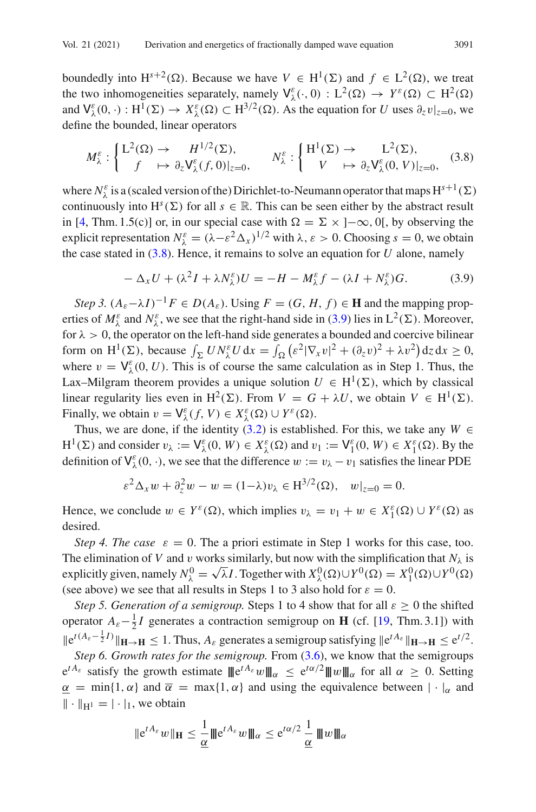boundedly into  $H^{s+2}(\Omega)$ . Because we have  $V \in H^1(\Sigma)$  and  $f \in L^2(\Omega)$ , we treat the two inhomogeneities separately, namely  $V^{\varepsilon}_{\lambda}(\cdot, 0) : L^2(\Omega) \to Y^{\varepsilon}(\Omega) \subset H^2(\Omega)$ and  $V^{\varepsilon}_{\lambda}(0, \cdot) : H^1(\Sigma) \to X^{\varepsilon}_{\lambda}(\Omega) \subset H^{3/2}(\Omega)$ . As the equation for *U* uses  $\partial_z v|_{z=0}$ , we define the bounded, linear operators

<span id="page-12-0"></span>
$$
M_{\lambda}^{\varepsilon} : \begin{cases} L^{2}(\Omega) \to & H^{1/2}(\Sigma), \\ f \mapsto \partial_{z} \mathsf{V}_{\lambda}^{\varepsilon}(f,0)|_{z=0}, \end{cases} \qquad N_{\lambda}^{\varepsilon} : \begin{cases} H^{1}(\Sigma) \to & L^{2}(\Sigma), \\ V \mapsto \partial_{z} \mathsf{V}_{\lambda}^{\varepsilon}(0,V)|_{z=0}, \end{cases} (3.8)
$$

where  $N_{\lambda}^{\varepsilon}$  is a (scaled version of the) Dirichlet-to-Neumann operator that maps  $H^{s+1}(\Sigma)$ continuously into  $H^s(\Sigma)$  for all  $s \in \mathbb{R}$ . This can be seen either by the abstract result in [\[4](#page-22-15), Thm. 1.5(c)] or, in our special case with  $\Omega = \Sigma \times [-\infty, 0]$ , by observing the explicit representation  $N_{\lambda}^{\varepsilon} = (\lambda - \varepsilon^2 \Delta_x)^{1/2}$  with  $\lambda, \varepsilon > 0$ . Choosing  $s = 0$ , we obtain the case stated in  $(3.8)$ . Hence, it remains to solve an equation for *U* alone, namely

<span id="page-12-1"></span>
$$
-\Delta_x U + (\lambda^2 I + \lambda N_\lambda^{\varepsilon}) U = -H - M_\lambda^{\varepsilon} f - (\lambda I + N_\lambda^{\varepsilon}) G. \tag{3.9}
$$

*Step 3.*  $(A_{\varepsilon}-\lambda I)^{-1}F \in D(A_{\varepsilon})$ . Using  $F = (G, H, f) \in \mathbf{H}$  and the mapping properties of  $M_{\lambda}^{\varepsilon}$  and  $N_{\lambda}^{\varepsilon}$ , we see that the right-hand side in [\(3.9\)](#page-12-1) lies in  $L^2(\Sigma)$ . Moreover, for  $\lambda > 0$ , the operator on the left-hand side generates a bounded and coercive bilinear form on  $H^1(\Sigma)$ , because  $\int_{\Sigma} U N^{\varepsilon}_\lambda U dx = \int_{\Omega} ( {\varepsilon}^2 |\nabla_x v|^2 + (\partial_z v)^2 + \lambda v^2 ) dz dx \ge 0$ , where  $v = V_{\lambda}^{\varepsilon}(0, U)$ . This is of course the same calculation as in Step 1. Thus, the Lax–Milgram theorem provides a unique solution  $U \in H^1(\Sigma)$ , which by classical linear regularity lies even in H<sup>2</sup>( $\Sigma$ ). From  $V = G + \lambda U$ , we obtain  $V \in H^1(\Sigma)$ . Finally, we obtain  $v = \mathsf{V}^{\varepsilon}_{\lambda}(f, V) \in X^{\varepsilon}_{\lambda}(\Omega) \cup Y^{\varepsilon}(\Omega)$ .

Thus, we are done, if the identity [\(3.2\)](#page-10-0) is established. For this, we take any  $W \in$  $H^1(\Sigma)$  and consider  $v_\lambda := \mathsf{V}^\varepsilon_\lambda(0, W) \in X^\varepsilon_\lambda(\Omega)$  and  $v_1 := \mathsf{V}^\varepsilon_1(0, W) \in X^\varepsilon_1(\Omega)$ . By the definition of  $V^{\varepsilon}_{\lambda}(0, \cdot)$ , we see that the difference  $w := v_{\lambda} - v_1$  satisfies the linear PDE

$$
\varepsilon^2 \Delta_x w + \partial_z^2 w - w = (1 - \lambda)v_\lambda \in H^{3/2}(\Omega), \quad w|_{z=0} = 0.
$$

Hence, we conclude  $w \in Y^{\varepsilon}(\Omega)$ , which implies  $v_{\lambda} = v_1 + w \in X_1^{\varepsilon}(\Omega) \cup Y^{\varepsilon}(\Omega)$  as desired.

*Step 4. The case*  $\varepsilon = 0$ . The a priori estimate in Step 1 works for this case, too. The elimination of *V* and *v* works similarly, but now with the simplification that  $N_{\lambda}$  is explicitly given, namely  $N_{\lambda}^{0} = \sqrt{\lambda} I$ . Together with  $X_{\lambda}^{0}(\Omega) \cup Y^{0}(\Omega) = X_{1}^{0}(\Omega) \cup Y^{0}(\Omega)$ (see above) we see that all results in Steps 1 to 3 also hold for  $\varepsilon = 0$ .

*Step 5. Generation of a semigroup.* Steps 1 to 4 show that for all  $\varepsilon \geq 0$  the shifted operator  $A_{\varepsilon}-\frac{1}{2}I$  generates a contraction semigroup on **H** (cf. [\[19,](#page-23-9) Thm. 3.1]) with  $\|\mathbf{e}^{t(A_{\varepsilon}-\frac{1}{2}I)}\|_{\mathbf{H}\to\mathbf{H}} \leq 1$ . Thus,  $A_{\varepsilon}$  generates a semigroup satisfying  $\|\mathbf{e}^{tA_{\varepsilon}}\|_{\mathbf{H}\to\mathbf{H}} \leq \mathbf{e}^{t/2}$ .

*Step 6. Growth rates for the semigroup.* From  $(3.6)$ , we know that the semigroups  $e^{tA_{\varepsilon}}$  satisfy the growth estimate  $||e^{tA_{\varepsilon}}w||_{\alpha} \le e^{t\alpha/2}||w||_{\alpha}$  for all  $\alpha \ge 0$ . Setting  $\alpha$  = min{1,  $\alpha$ } and  $\overline{\alpha}$  = max{1,  $\alpha$ } and using the equivalence between  $|\cdot|_{\alpha}$  and  $\|\cdot\|_{H^1} = |\cdot|_1$ , we obtain

$$
\|e^{tA_{\varepsilon}}w\|_{\mathbf{H}} \leq \frac{1}{\underline{\alpha}}{|\!|\!|}e^{tA_{\varepsilon}}w{|\!|\!|} _{\alpha} \leq e^{t\alpha/2}\frac{1}{\underline{\alpha}}{|\!|\!|} w{|\!|\!|} _{\alpha}
$$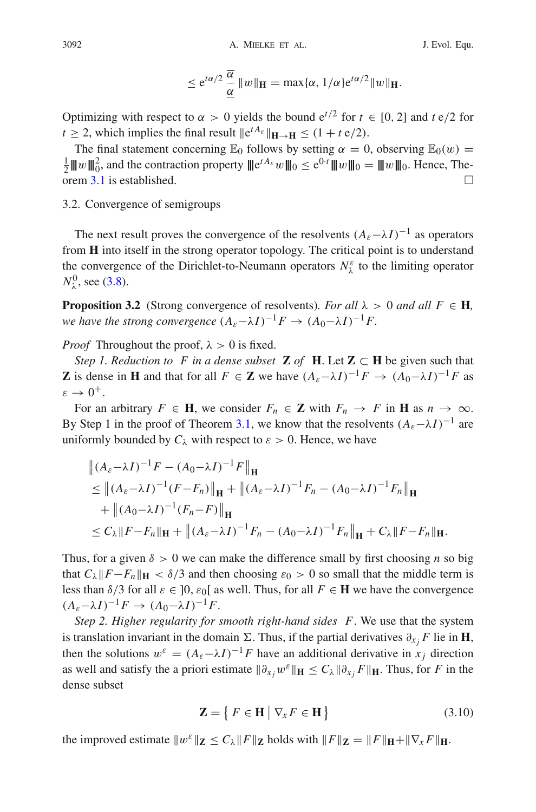$$
\leq e^{t\alpha/2}\frac{\overline{\alpha}}{\underline{\alpha}}\|w\|_{\mathbf{H}} = \max\{\alpha, 1/\alpha\}e^{t\alpha/2}\|w\|_{\mathbf{H}}.
$$

Optimizing with respect to  $\alpha > 0$  yields the bound  $e^{t/2}$  for  $t \in [0, 2]$  and  $t \frac{e}{2}$  for  $t > 2$ , which implies the final result  $\|\mathbf{e}^{tA_{\varepsilon}}\|_{\mathbf{H}\to\mathbf{H}} < (1 + t \mathbf{e}/2)$ .

The final statement concerning  $\mathbb{E}_0$  follows by setting  $\alpha = 0$ , observing  $\mathbb{E}_0(w) = 1$  $\frac{1}{2}|\mathbf{w}||_0^2$ , and the contraction property  $|\mathbf{e}^{tA_\varepsilon}w||_0 \le e^{0 \cdot t}|\mathbf{w}||_0 = |\mathbf{w}||_0$ . Hence, The-orem [3.1](#page-10-1) is established.  $\square$ 

#### 3.2. Convergence of semigroups

The next result proves the convergence of the resolvents  $(A_{\varepsilon}-\lambda I)^{-1}$  as operators from **H** into itself in the strong operator topology. The critical point is to understand the convergence of the Dirichlet-to-Neumann operators  $N_{\lambda}^{\varepsilon}$  to the limiting operator  $N_{\lambda}^{0}$ , see [\(3.8\)](#page-12-0).

<span id="page-13-0"></span>**Proposition 3.2** (Strong convergence of resolvents)*. For all*  $\lambda > 0$  *and all*  $F \in H$ *, we have the strong convergence*  $(A_{\varepsilon}-\lambda I)^{-1}F \rightarrow (A_0-\lambda I)^{-1}F$ .

*Proof* Throughout the proof,  $\lambda > 0$  is fixed.

*Step 1. Reduction to F in a dense subset* **Z** *of* **H**. Let **Z**  $\subset$  **H** be given such that **Z** is dense in **H** and that for all  $F \in \mathbb{Z}$  we have  $(A_{\varepsilon}-\lambda I)^{-1}F \to (A_0-\lambda I)^{-1}F$  as  $\varepsilon \rightarrow 0^+$ .

For an arbitrary  $F \in \mathbf{H}$ , we consider  $F_n \in \mathbf{Z}$  with  $F_n \to F$  in  $\mathbf{H}$  as  $n \to \infty$ . By Step 1 in the proof of Theorem [3.1,](#page-10-1) we know that the resolvents  $(A_{\varepsilon}-\lambda I)^{-1}$  are uniformly bounded by  $C_{\lambda}$  with respect to  $\varepsilon > 0$ . Hence, we have

$$
\|(A_{\varepsilon}-\lambda I)^{-1}F - (A_{0}-\lambda I)^{-1}F\|_{\mathbf{H}}
$$
  
\n
$$
\leq \|(A_{\varepsilon}-\lambda I)^{-1}(F-F_{n})\|_{\mathbf{H}} + \|(A_{\varepsilon}-\lambda I)^{-1}F_{n} - (A_{0}-\lambda I)^{-1}F_{n}\|_{\mathbf{H}}
$$
  
\n
$$
+ \|(A_{0}-\lambda I)^{-1}(F_{n}-F)\|_{\mathbf{H}}
$$
  
\n
$$
\leq C_{\lambda} \|F-F_{n}\|_{\mathbf{H}} + \|(A_{\varepsilon}-\lambda I)^{-1}F_{n} - (A_{0}-\lambda I)^{-1}F_{n}\|_{\mathbf{H}} + C_{\lambda} \|F-F_{n}\|_{\mathbf{H}}.
$$

Thus, for a given  $\delta > 0$  we can make the difference small by first choosing *n* so big that  $C_\lambda$   $\|F-F_n\|_{\mathbf{H}} < \delta/3$  and then choosing  $\varepsilon_0 > 0$  so small that the middle term is less than  $\delta/3$  for all  $\varepsilon \in [0, \varepsilon_0[$  as well. Thus, for all  $F \in \mathbf{H}$  we have the convergence  $(A_{\varepsilon}-\lambda I)^{-1}F \rightarrow (A_0-\lambda I)^{-1}F.$ 

*Step 2. Higher regularity for smooth right-hand sides F*. We use that the system is translation invariant in the domain  $\Sigma$ . Thus, if the partial derivatives  $\partial_{x_i} F$  lie in **H**, then the solutions  $w^{\varepsilon} = (A_{\varepsilon} - \lambda I)^{-1}F$  have an additional derivative in *x<sub>j</sub>* direction as well and satisfy the a priori estimate  $\|\partial_{x_i} w^{\varepsilon}\|_{\mathbf{H}} \leq C_{\lambda} \|\partial_{x_i} F\|_{\mathbf{H}}$ . Thus, for *F* in the dense subset

<span id="page-13-1"></span>
$$
\mathbf{Z} = \{ F \in \mathbf{H} \mid \nabla_x F \in \mathbf{H} \}
$$
 (3.10)

the improved estimate  $||w^{\varepsilon}||_{\mathbf{Z}} \leq C_{\lambda} ||F||_{\mathbf{Z}}$  holds with  $||F||_{\mathbf{Z}} = ||F||_{\mathbf{H}} + ||\nabla_{x} F||_{\mathbf{H}}$ .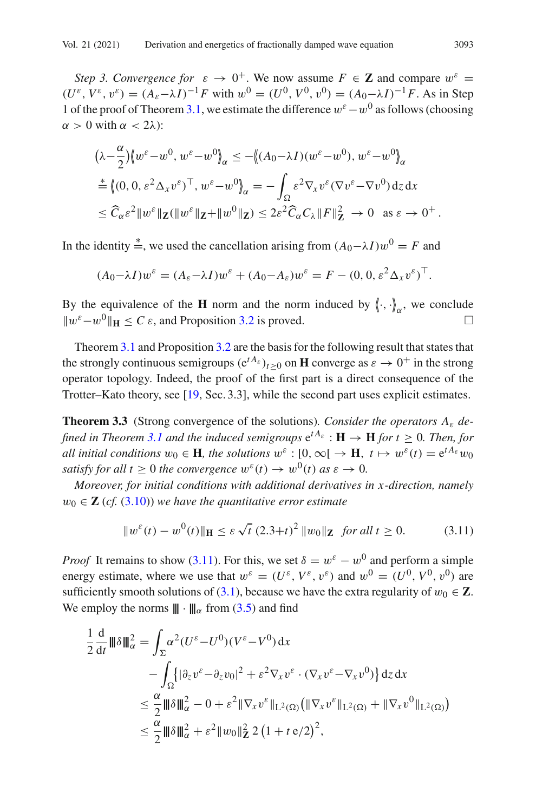*Step 3. Convergence for*  $\varepsilon \to 0^+$ . We now assume  $F \in \mathbb{Z}$  and compare  $w^{\varepsilon} =$  $(U^{\varepsilon}, V^{\varepsilon}, v^{\varepsilon}) = (A_{\varepsilon} - \lambda I)^{-1} F$  with  $w^0 = (U^0, V^0, v^0) = (A_0 - \lambda I)^{-1} F$ . As in Step 1 of the proof of Theorem [3.1,](#page-10-1) we estimate the difference  $w^{\varepsilon}-w^0$  as follows (choosing  $\alpha > 0$  with  $\alpha < 2\lambda$ :

$$
(\lambda - \frac{\alpha}{2}) \langle w^{\varepsilon} - w^0, w^{\varepsilon} - w^0 \rangle_{\alpha} \le - \langle (A_0 - \lambda I)(w^{\varepsilon} - w^0), w^{\varepsilon} - w^0 \rangle_{\alpha}
$$
  
\n
$$
\stackrel{*}{=} \langle (0, 0, \varepsilon^2 \Delta_x v^{\varepsilon})^\top, w^{\varepsilon} - w^0 \rangle_{\alpha} = - \int_{\Omega} \varepsilon^2 \nabla_x v^{\varepsilon} (\nabla v^{\varepsilon} - \nabla v^0) dz dx
$$
  
\n
$$
\le \widehat{C}_{\alpha} \varepsilon^2 \| w^{\varepsilon} \|_{\mathbf{Z}} (\| w^{\varepsilon} \|_{\mathbf{Z}} + \| w^0 \|_{\mathbf{Z}}) \le 2\varepsilon^2 \widehat{C}_{\alpha} C_{\lambda} \| F \|_{\mathbf{Z}}^2 \to 0 \text{ as } \varepsilon \to 0^+.
$$

In the identity  $\stackrel{*}{=}$ , we used the cancellation arising from  $(A_0 - \lambda I)w^0 = F$  and

$$
(A_0 - \lambda I)w^{\varepsilon} = (A_{\varepsilon} - \lambda I)w^{\varepsilon} + (A_0 - A_{\varepsilon})w^{\varepsilon} = F - (0, 0, \varepsilon^2 \Delta_x v^{\varepsilon})^{\top}.
$$

By the equivalence of the **H** norm and the norm induced by  $\langle \cdot, \cdot \rangle_{\alpha}$ , we conclude  $||w^{\varepsilon}-w^0||_H < C \varepsilon$ , and Proposition [3.2](#page-13-0) is proved.  $□$ 

Theorem [3.1](#page-10-1) and Proposition [3.2](#page-13-0) are the basis for the following result that states that the strongly continuous semigroups  $(e^{tA_{\varepsilon}})_{t>0}$  on **H** converge as  $\varepsilon \to 0^+$  in the strong operator topology. Indeed, the proof of the first part is a direct consequence of the Trotter–Kato theory, see [\[19](#page-23-9), Sec. 3.3], while the second part uses explicit estimates.

<span id="page-14-0"></span>**Theorem 3.3** (Strong convergence of the solutions)*. Consider the operators A*<sup>ε</sup> *de-fined in Theorem [3.1](#page-10-1) and the induced semigroups*  $e^{tA_{\varepsilon}}$  :  $H \to H$  *for t*  $\geq 0$ *. Then, for all initial conditions*  $w_0 \in \mathbf{H}$ *, the solutions*  $w^{\varepsilon} : [0, \infty] \to \mathbf{H}$ *,*  $t \mapsto w^{\varepsilon}(t) = e^{t A_{\varepsilon}} w_0$ *satisfy for all t*  $\geq 0$  *the convergence*  $w^{\varepsilon}(t) \to w^0(t)$  *as*  $\varepsilon \to 0$ *.* 

*Moreover, for initial conditions with additional derivatives in x -direction, namely*  $w_0 \in \mathbb{Z}$  (*cf.* [\(3.10\)](#page-13-1)) we have the quantitative error estimate

<span id="page-14-1"></span>
$$
||w^{\varepsilon}(t) - w^{0}(t)||_{\mathbf{H}} \leq \varepsilon \sqrt{t} (2.3+t)^{2} ||w_{0}||_{\mathbf{Z}} \text{ for all } t \geq 0.
$$
 (3.11)

*Proof* It remains to show [\(3.11\)](#page-14-1). For this, we set  $\delta = w^{\varepsilon} - w^0$  and perform a simple energy estimate, where we use that  $w^{\varepsilon} = (U^{\varepsilon}, V^{\varepsilon}, v^{\varepsilon})$  and  $w^0 = (U^0, V^0, v^0)$  are sufficiently smooth solutions of [\(3.1\)](#page-9-1), because we have the extra regularity of  $w_0 \in \mathbb{Z}$ . We employ the norms  $\|\cdot\|_{\alpha}$  from [\(3.5\)](#page-11-2) and find

$$
\frac{1}{2} \frac{d}{dt} ||\theta||_{\alpha}^{2} = \int_{\Sigma} \alpha^{2} (U^{\varepsilon} - U^{0})(V^{\varepsilon} - V^{0}) dx
$$
  
\n
$$
- \int_{\Omega} \{ |\partial_{z} v^{\varepsilon} - \partial_{z} v_{0}|^{2} + \varepsilon^{2} \nabla_{x} v^{\varepsilon} \cdot (\nabla_{x} v^{\varepsilon} - \nabla_{x} v^{0}) \} dz dx
$$
  
\n
$$
\leq \frac{\alpha}{2} ||\theta||_{\alpha}^{2} - 0 + \varepsilon^{2} ||\nabla_{x} v^{\varepsilon}||_{L^{2}(\Omega)} (||\nabla_{x} v^{\varepsilon}||_{L^{2}(\Omega)} + ||\nabla_{x} v^{0}||_{L^{2}(\Omega)})
$$
  
\n
$$
\leq \frac{\alpha}{2} ||\theta||_{\alpha}^{2} + \varepsilon^{2} ||w_{0}||_{\mathbf{Z}}^{2} 2 (1 + t \varepsilon/2)^{2},
$$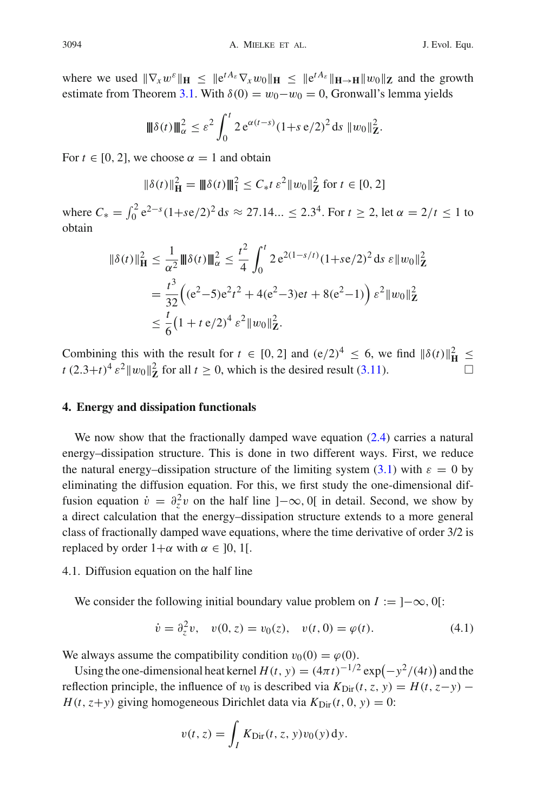where we used  $\|\nabla_x w^{\varepsilon}\|_{\mathbf{H}} \leq \|e^{tA_{\varepsilon}}\nabla_x w_0\|_{\mathbf{H}} \leq \|e^{tA_{\varepsilon}}\|_{\mathbf{H}\to\mathbf{H}} \|w_0\|_{\mathbf{Z}}$  and the growth estimate from Theorem [3.1.](#page-10-1) With  $\delta(0) = w_0 - w_0 = 0$ , Gronwall's lemma yields

$$
\|\delta(t)\|_{\alpha}^2 \leq \varepsilon^2 \int_0^t 2 e^{\alpha(t-s)} (1+s e/2)^2 ds \|w_0\|_{\mathbf{Z}}^2.
$$

For  $t \in [0, 2]$ , we choose  $\alpha = 1$  and obtain

$$
\|\delta(t)\|_{\mathbf{H}}^2 = \|\delta(t)\|_{1}^2 \le C_* t \,\varepsilon^2 \|w_0\|_{\mathbf{Z}}^2 \text{ for } t \in [0, 2]
$$

where  $C_* = \int_0^2 e^{2-s} (1+s e/2)^2 ds \approx 27.14... \leq 2.3^4$ . For  $t \geq 2$ , let  $\alpha = 2/t \leq 1$  to obtain

$$
\|\delta(t)\|_{\mathbf{H}}^2 \leq \frac{1}{\alpha^2} \|\delta(t)\|_{\alpha}^2 \leq \frac{t^2}{4} \int_0^t 2 e^{2(1-s/t)} (1+s e/2)^2 ds \, \varepsilon \|w_0\|_{\mathbf{Z}}^2
$$
  
= 
$$
\frac{t^3}{32} \Big( (e^2 - 5)e^2 t^2 + 4(e^2 - 3) e t + 8(e^2 - 1) \Big) \varepsilon^2 \|w_0\|_{\mathbf{Z}}^2
$$
  

$$
\leq \frac{t}{6} (1 + t e/2)^4 \varepsilon^2 \|w_0\|_{\mathbf{Z}}^2.
$$

Combining this with the result for  $t \in [0, 2]$  and  $(e/2)^4 \le 6$ , we find  $\|\delta(t)\|_{\mathbf{H}}^2 \le$  $t(2.3+t)^4 \varepsilon^2 ||w_0||^2$  for all  $t \ge 0$ , which is the desired result [\(3.11\)](#page-14-1).

#### <span id="page-15-0"></span>**4. Energy and dissipation functionals**

We now show that the fractionally damped wave equation [\(2.4\)](#page-8-1) carries a natural energy–dissipation structure. This is done in two different ways. First, we reduce the natural energy–dissipation structure of the limiting system [\(3.1\)](#page-9-1) with  $\varepsilon = 0$  by eliminating the diffusion equation. For this, we first study the one-dimensional diffusion equation  $\dot{v} = \partial_z^2 v$  on the half line ] $-\infty$ , 0[ in detail. Second, we show by a direct calculation that the energy–dissipation structure extends to a more general class of fractionally damped wave equations, where the time derivative of order 3/2 is replaced by order  $1+\alpha$  with  $\alpha \in [0, 1]$ .

## <span id="page-15-1"></span>4.1. Diffusion equation on the half line

We consider the following initial boundary value problem on  $I := ]-\infty, 0[$ :

<span id="page-15-2"></span>
$$
\dot{v} = \partial_z^2 v, \quad v(0, z) = v_0(z), \quad v(t, 0) = \varphi(t). \tag{4.1}
$$

We always assume the compatibility condition  $v_0(0) = \varphi(0)$ .

Using the one-dimensional heat kernel  $H(t, y) = (4\pi t)^{-1/2} \exp(-y^2/(4t))$  and the reflection principle, the influence of  $v_0$  is described via  $K_{\text{Dir}}(t, z, y) = H(t, z - y) H(t, z+y)$  giving homogeneous Dirichlet data via  $K_{\text{Dir}}(t, 0, y) = 0$ :

$$
v(t, z) = \int_I K_{\text{Dir}}(t, z, y) v_0(y) \, dy.
$$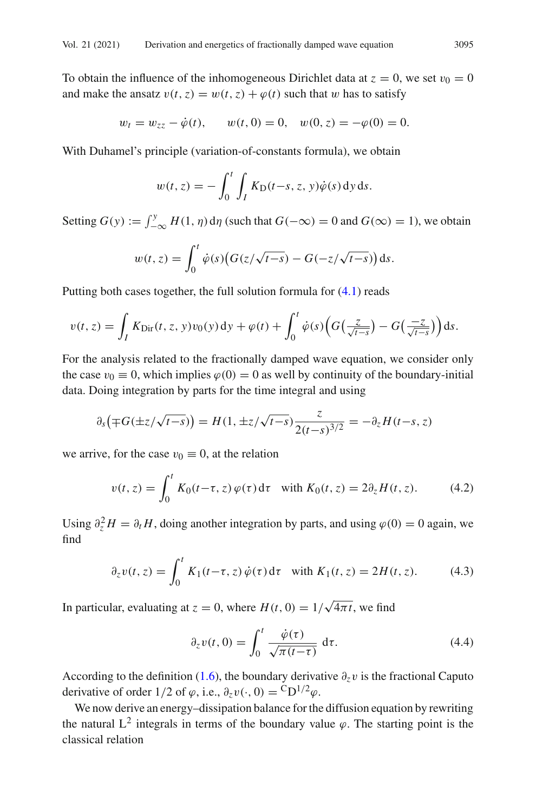To obtain the influence of the inhomogeneous Dirichlet data at  $z = 0$ , we set  $v_0 = 0$ and make the ansatz  $v(t, z) = w(t, z) + \varphi(t)$  such that w has to satisfy

$$
w_t = w_{zz} - \dot{\varphi}(t)
$$
,  $w(t, 0) = 0$ ,  $w(0, z) = -\varphi(0) = 0$ .

With Duhamel's principle (variation-of-constants formula), we obtain

$$
w(t, z) = -\int_0^t \int_I K_D(t - s, z, y)\dot{\varphi}(s) \,dy\,ds.
$$

Setting  $G(y) := \int_{-\infty}^{y} H(1, \eta) d\eta$  (such that  $G(-\infty) = 0$  and  $G(\infty) = 1$ ), we obtain

$$
w(t,z) = \int_0^t \dot{\varphi}(s) \big( G(z/\sqrt{t-s}) - G(-z/\sqrt{t-s}) \big) \, \mathrm{d} s.
$$

Putting both cases together, the full solution formula for [\(4.1\)](#page-15-2) reads

$$
v(t,z)=\int_I K_{\text{Dir}}(t,z,y)v_0(y)\,dy+\varphi(t)+\int_0^t \dot{\varphi}(s)\Big(G\big(\frac{z}{\sqrt{t-s}}\big)-G\big(\frac{-z}{\sqrt{t-s}}\big)\Big)ds.
$$

For the analysis related to the fractionally damped wave equation, we consider only the case  $v_0 \equiv 0$ , which implies  $\varphi(0) = 0$  as well by continuity of the boundary-initial data. Doing integration by parts for the time integral and using

$$
\partial_s\big(\mp G(\pm z/\sqrt{t-s})\big) = H(1,\pm z/\sqrt{t-s})\frac{z}{2(t-s)^{3/2}} = -\partial_z H(t-s,z)
$$

we arrive, for the case  $v_0 \equiv 0$ , at the relation

<span id="page-16-1"></span>
$$
v(t, z) = \int_0^t K_0(t - \tau, z) \varphi(\tau) d\tau \quad \text{with } K_0(t, z) = 2\partial_z H(t, z). \tag{4.2}
$$

Using  $\partial_z^2 H = \partial_t H$ , doing another integration by parts, and using  $\varphi(0) = 0$  again, we find

<span id="page-16-0"></span>
$$
\partial_z v(t, z) = \int_0^t K_1(t - \tau, z) \dot{\varphi}(\tau) d\tau \quad \text{with } K_1(t, z) = 2H(t, z). \tag{4.3}
$$

In particular, evaluating at  $z = 0$ , where  $H(t, 0) = 1/\sqrt{4\pi t}$ , we find

<span id="page-16-2"></span>
$$
\partial_z v(t,0) = \int_0^t \frac{\dot{\varphi}(\tau)}{\sqrt{\pi(t-\tau)}} d\tau.
$$
 (4.4)

According to the definition [\(1.6\)](#page-2-5), the boundary derivative  $\partial_z v$  is the fractional Caputo derivative of order 1/2 of  $\varphi$ , i.e.,  $\partial_z v(\cdot, 0) = {}^C D^{1/2} \varphi$ .

We now derive an energy–dissipation balance for the diffusion equation by rewriting the natural  $L^2$  integrals in terms of the boundary value  $\varphi$ . The starting point is the classical relation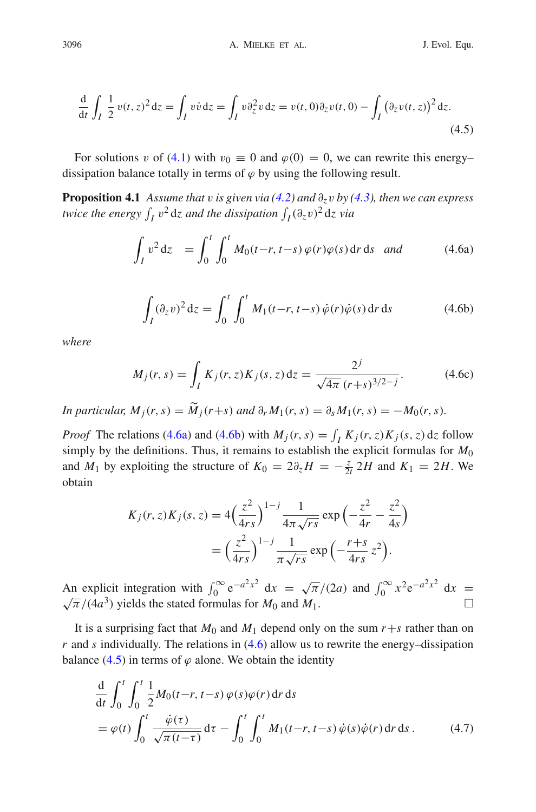<span id="page-17-3"></span>
$$
\frac{\mathrm{d}}{\mathrm{d}t} \int_I \frac{1}{2} v(t, z)^2 \mathrm{d}z = \int_I v \dot{v} \mathrm{d}z = \int_I v \partial_z^2 v \mathrm{d}z = v(t, 0) \partial_z v(t, 0) - \int_I (\partial_z v(t, z))^2 \mathrm{d}z.
$$
\n(4.5)

<span id="page-17-5"></span>For solutions v of [\(4.1\)](#page-15-2) with  $v_0 \equiv 0$  and  $\varphi(0) = 0$ , we can rewrite this energy– dissipation balance totally in terms of  $\varphi$  by using the following result.

**Proposition 4.1** *Assume that* v *is given via*  $(4.2)$  *and*  $\partial_z v$  *by*  $(4.3)$ *, then we can express twice the energy*  $\int_I v^2 dz$  and the dissipation  $\int_I (\partial_z v)^2 dz$  via

<span id="page-17-2"></span>
$$
\int_{I} v^{2} dz = \int_{0}^{t} \int_{0}^{t} M_{0}(t-r, t-s) \varphi(r) \varphi(s) dr ds \quad and \tag{4.6a}
$$

<span id="page-17-1"></span><span id="page-17-0"></span>
$$
\int_{I} (\partial_z v)^2 dz = \int_0^t \int_0^t M_1(t-r, t-s) \dot{\varphi}(r) \dot{\varphi}(s) dr ds \qquad (4.6b)
$$

*where*

$$
M_j(r,s) = \int_I K_j(r,z)K_j(s,z) dz = \frac{2^j}{\sqrt{4\pi} (r+s)^{3/2-j}}.
$$
 (4.6c)

*In particular,*  $M_i(r, s) = \widetilde{M}_i(r+s)$  *and*  $\partial_r M_1(r, s) = \partial_s M_1(r, s) = -M_0(r, s)$ .

*Proof* The relations [\(4.6a\)](#page-17-0) and [\(4.6b\)](#page-17-1) with  $M_j(r, s) = \int_I K_j(r, z) K_j(s, z) dz$  follow simply by the definitions. Thus, it remains to establish the explicit formulas for  $M_0$ and *M*<sub>1</sub> by exploiting the structure of  $K_0 = 2\partial_z H = -\frac{z}{2t} 2H$  and  $K_1 = 2H$ . We obtain

$$
K_j(r, z)K_j(s, z) = 4\left(\frac{z^2}{4rs}\right)^{1-j} \frac{1}{4\pi\sqrt{rs}} \exp\left(-\frac{z^2}{4r} - \frac{z^2}{4s}\right)
$$

$$
= \left(\frac{z^2}{4rs}\right)^{1-j} \frac{1}{\pi\sqrt{rs}} \exp\left(-\frac{r+s}{4rs}z^2\right).
$$

An explicit integration with  $\int_0^\infty e^{-a^2x^2} dx = \sqrt{\pi}/(2a)$  and  $\int_0^\infty x^2 e^{-a^2x^2} dx = \sqrt{\pi}/(4a^3)$  yields the stated formulas for *M*<sub>0</sub> and *M*<sub>1</sub>.

It is a surprising fact that  $M_0$  and  $M_1$  depend only on the sum  $r+s$  rather than on  $r$  and  $s$  individually. The relations in  $(4.6)$  allow us to rewrite the energy–dissipation balance [\(4.5\)](#page-17-3) in terms of  $\varphi$  alone. We obtain the identity

<span id="page-17-4"></span>
$$
\frac{d}{dt} \int_0^t \int_0^t \frac{1}{2} M_0(t-r, t-s) \varphi(s) \varphi(r) dr ds
$$
\n
$$
= \varphi(t) \int_0^t \frac{\dot{\varphi}(\tau)}{\sqrt{\pi(t-\tau)}} d\tau - \int_0^t \int_0^t M_1(t-r, t-s) \dot{\varphi}(s) \dot{\varphi}(r) dr ds.
$$
\n(4.7)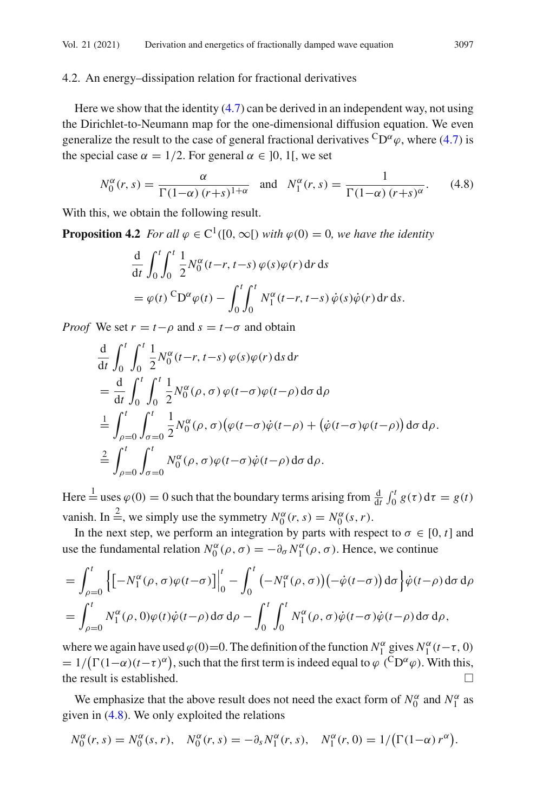#### <span id="page-18-2"></span>4.2. An energy–dissipation relation for fractional derivatives

Here we show that the identity  $(4.7)$  can be derived in an independent way, not using the Dirichlet-to-Neumann map for the one-dimensional diffusion equation. We even generalize the result to the case of general fractional derivatives  ${}^C D^{\alpha} \varphi$ , where [\(4.7\)](#page-17-4) is the special case  $\alpha = 1/2$ . For general  $\alpha \in [0, 1]$ , we set

<span id="page-18-0"></span>
$$
N_0^{\alpha}(r,s) = \frac{\alpha}{\Gamma(1-\alpha)(r+s)^{1+\alpha}} \text{ and } N_1^{\alpha}(r,s) = \frac{1}{\Gamma(1-\alpha)(r+s)^{\alpha}}.
$$
 (4.8)

<span id="page-18-1"></span>With this, we obtain the following result.

**Proposition 4.2** *For all*  $\varphi \in C^1([0,\infty])$  *with*  $\varphi(0) = 0$ *, we have the identity* 

$$
\frac{d}{dt} \int_0^t \int_0^t \frac{1}{2} N_0^{\alpha}(t-r, t-s) \varphi(s) \varphi(r) dr ds
$$
  
=  $\varphi(t) {}^{C}D^{\alpha} \varphi(t) - \int_0^t \int_0^t N_1^{\alpha}(t-r, t-s) \varphi(s) \varphi(r) dr ds.$ 

*Proof* We set  $r = t - \rho$  and  $s = t - \sigma$  and obtain

$$
\frac{d}{dt} \int_0^t \int_0^t \frac{1}{2} N_0^{\alpha}(t-r, t-s) \varphi(s) \varphi(r) ds dr \n= \frac{d}{dt} \int_0^t \int_0^t \frac{1}{2} N_0^{\alpha}(\rho, \sigma) \varphi(t-\sigma) \varphi(t-\rho) d\sigma d\rho \n= \frac{1}{2} \int_{\rho=0}^t \int_{\sigma=0}^t \frac{1}{2} N_0^{\alpha}(\rho, \sigma) \big( \varphi(t-\sigma) \dot{\varphi}(t-\rho) + \big( \dot{\varphi}(t-\sigma) \varphi(t-\rho) \big) d\sigma d\rho \n= \frac{2}{2} \int_{\rho=0}^t \int_{\sigma=0}^t N_0^{\alpha}(\rho, \sigma) \varphi(t-\sigma) \dot{\varphi}(t-\rho) d\sigma d\rho.
$$

Here  $\frac{1}{e}$  uses  $\varphi(0) = 0$  such that the boundary terms arising from  $\frac{d}{dt} \int_0^t g(\tau) d\tau = g(t)$ vanish. In  $\stackrel{2}{\equiv}$ , we simply use the symmetry  $N_0^{\alpha}(r, s) = N_0^{\alpha}(s, r)$ .

In the next step, we perform an integration by parts with respect to  $\sigma \in [0, t]$  and use the fundamental relation  $N_0^{\alpha}(\rho, \sigma) = -\partial_{\sigma} N_1^{\alpha}(\rho, \sigma)$ . Hence, we continue

$$
= \int_{\rho=0}^{t} \left\{ \left[ -N_1^{\alpha}(\rho, \sigma) \varphi(t-\sigma) \right] \right\vert_0^t - \int_0^t \left( -N_1^{\alpha}(\rho, \sigma) \right) \left( -\dot{\varphi}(t-\sigma) \right) d\sigma \right\} \dot{\varphi}(t-\rho) d\sigma d\rho
$$
  

$$
= \int_{\rho=0}^{t} N_1^{\alpha}(\rho, 0) \varphi(t) \dot{\varphi}(t-\rho) d\sigma d\rho - \int_0^t \int_0^t N_1^{\alpha}(\rho, \sigma) \dot{\varphi}(t-\sigma) \dot{\varphi}(t-\rho) d\sigma d\rho,
$$

where we again have used  $\varphi(0)=0$ . The definition of the function  $N_1^{\alpha}$  gives  $N_1^{\alpha}(t-\tau,0)$  $= 1/(\Gamma(1-\alpha)(t-\tau)^{\alpha})$ , such that the first term is indeed equal to  $\varphi$  (<sup>C</sup>D<sup> $\alpha$ </sup> $\varphi$ ). With this, the result is established.  $\Box$ 

We emphasize that the above result does not need the exact form of  $N_0^{\alpha}$  and  $N_1^{\alpha}$  as given in [\(4.8\)](#page-18-0). We only exploited the relations

$$
N_0^{\alpha}(r,s) = N_0^{\alpha}(s,r), \quad N_0^{\alpha}(r,s) = -\partial_s N_1^{\alpha}(r,s), \quad N_1^{\alpha}(r,0) = 1/(\Gamma(1-\alpha) r^{\alpha}).
$$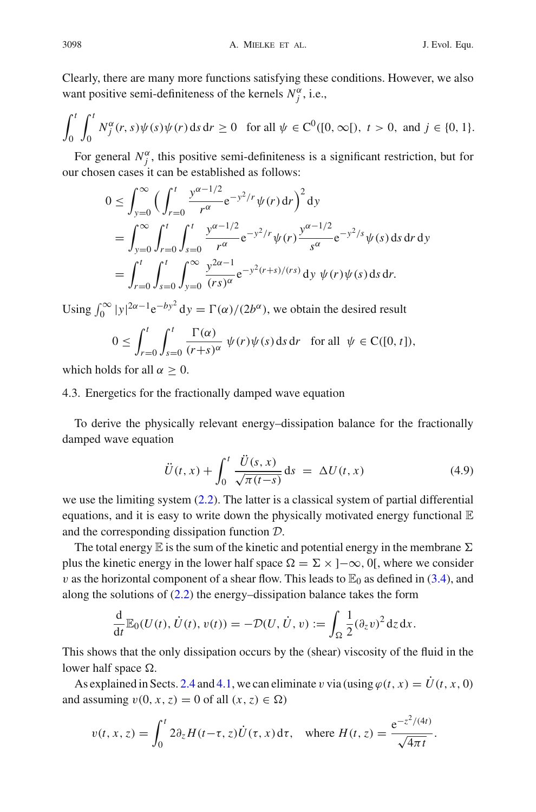Clearly, there are many more functions satisfying these conditions. However, we also want positive semi-definiteness of the kernels  $N_j^{\alpha}$ , i.e.,

$$
\int_0^t \int_0^t N_j^{\alpha}(r,s) \psi(s) \psi(r) \, \mathrm{d} s \, \mathrm{d} r \ge 0 \quad \text{for all } \psi \in C^0([0,\infty[),\ t > 0, \text{ and } j \in \{0,1\}.
$$

For general  $N_j^{\alpha}$ , this positive semi-definiteness is a significant restriction, but for our chosen cases it can be established as follows:

$$
0 \leq \int_{y=0}^{\infty} \Big( \int_{r=0}^{t} \frac{y^{\alpha-1/2}}{r^{\alpha}} e^{-y^2/r} \psi(r) dr \Big)^2 dy
$$
  
= 
$$
\int_{y=0}^{\infty} \int_{r=0}^{t} \int_{s=0}^{t} \frac{y^{\alpha-1/2}}{r^{\alpha}} e^{-y^2/r} \psi(r) \frac{y^{\alpha-1/2}}{s^{\alpha}} e^{-y^2/s} \psi(s) ds dr dy
$$
  
= 
$$
\int_{r=0}^{t} \int_{s=0}^{t} \int_{y=0}^{\infty} \frac{y^{2\alpha-1}}{(rs)^{\alpha}} e^{-y^2(r+s)/(rs)} dy \psi(r) \psi(s) ds dr.
$$

Using  $\int_0^\infty |y|^{2\alpha - 1} e^{-by^2} dy = \Gamma(\alpha)/(2b^\alpha)$ , we obtain the desired result

$$
0 \le \int_{r=0}^t \int_{s=0}^t \frac{\Gamma(\alpha)}{(r+s)^\alpha} \psi(r)\psi(s) \, \mathrm{d} s \, \mathrm{d} r \quad \text{for all} \ \ \psi \in \mathcal{C}([0, t]),
$$

which holds for all  $\alpha \geq 0$ .

## 4.3. Energetics for the fractionally damped wave equation

To derive the physically relevant energy–dissipation balance for the fractionally damped wave equation

<span id="page-19-0"></span>
$$
\ddot{U}(t,x) + \int_0^t \frac{\ddot{U}(s,x)}{\sqrt{\pi(t-s)}} ds = \Delta U(t,x)
$$
\n(4.9)

we use the limiting system [\(2.2\)](#page-7-5). The latter is a classical system of partial differential equations, and it is easy to write down the physically motivated energy functional  $E$ and the corresponding dissipation function *D*.

The total energy  $\mathbb E$  is the sum of the kinetic and potential energy in the membrane  $\Sigma$ plus the kinetic energy in the lower half space  $\Omega = \Sigma \times ]-\infty, 0[$ , where we consider v as the horizontal component of a shear flow. This leads to  $\mathbb{E}_0$  as defined in [\(3.4\)](#page-10-2), and along the solutions of  $(2.2)$  the energy–dissipation balance takes the form

$$
\frac{\mathrm{d}}{\mathrm{d}t}\mathbb{E}_0(U(t),\dot{U}(t),v(t))=-\mathcal{D}(U,\dot{U},v):=\int_{\Omega}\frac{1}{2}(\partial_zv)^2\,\mathrm{d}z\,\mathrm{d}x.
$$

This shows that the only dissipation occurs by the (shear) viscosity of the fluid in the lower half space  $\Omega$ .

As explained in Sects. [2.4](#page-7-0) and [4.1,](#page-15-1) we can eliminate v via (using  $\varphi(t, x) = \dot{U}(t, x, 0)$ ) and assuming  $v(0, x, z) = 0$  of all  $(x, z) \in \Omega$ )

$$
v(t, x, z) = \int_0^t 2\partial_z H(t-\tau, z)\dot{U}(\tau, x) d\tau, \text{ where } H(t, z) = \frac{e^{-z^2/(4t)}}{\sqrt{4\pi t}}.
$$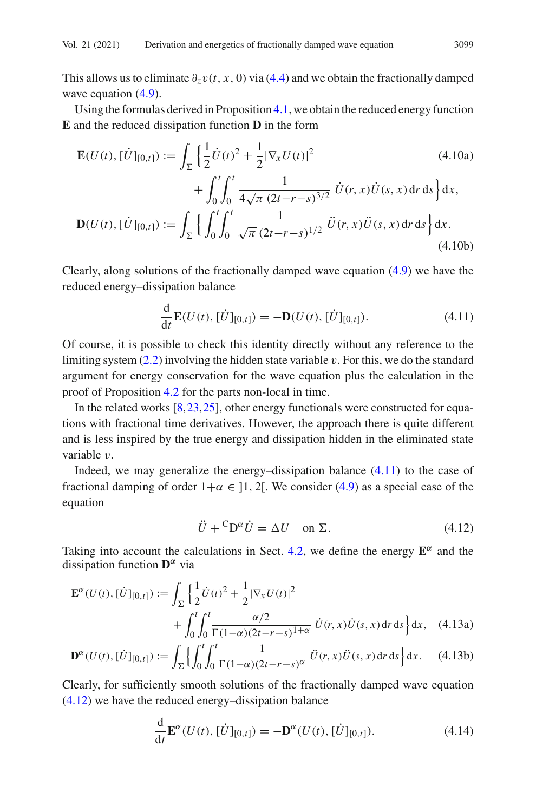This allows us to eliminate  $\partial_z v(t, x, 0)$  via [\(4.4\)](#page-16-2) and we obtain the fractionally damped wave equation  $(4.9)$ .

Using the formulas derived in Proposition [4.1,](#page-17-5) we obtain the reduced energy function **E** and the reduced dissipation function **D** in the form

$$
\mathbf{E}(U(t), [\dot{U}]_{[0,t]}) := \int_{\Sigma} \left\{ \frac{1}{2} \dot{U}(t)^2 + \frac{1}{2} |\nabla_x U(t)|^2 \right. \\ \left. + \int_0^t \int_0^t \frac{1}{4\sqrt{\pi} (2t - r - s)^{3/2}} \dot{U}(r, x) \dot{U}(s, x) dr ds \right\} dx,
$$
\n
$$
\mathbf{D}(U(t), [\dot{U}]_{[0,t]}) := \int_{\Sigma} \left\{ \int_0^t \int_0^t \frac{1}{\sqrt{\pi} (2t - r - s)^{1/2}} \ddot{U}(r, x) \ddot{U}(s, x) dr ds \right\} dx.
$$
\n(4.10b)

Clearly, along solutions of the fractionally damped wave equation [\(4.9\)](#page-19-0) we have the reduced energy–dissipation balance

<span id="page-20-0"></span>
$$
\frac{\mathrm{d}}{\mathrm{d}t} \mathbf{E}(U(t), [\dot{U}]_{[0,t]}) = -\mathbf{D}(U(t), [\dot{U}]_{[0,t]}).
$$
\n(4.11)

Of course, it is possible to check this identity directly without any reference to the limiting system  $(2.2)$  involving the hidden state variable v. For this, we do the standard argument for energy conservation for the wave equation plus the calculation in the proof of Proposition [4.2](#page-18-1) for the parts non-local in time.

In the related works  $[8,23,25]$  $[8,23,25]$  $[8,23,25]$  $[8,23,25]$ , other energy functionals were constructed for equations with fractional time derivatives. However, the approach there is quite different and is less inspired by the true energy and dissipation hidden in the eliminated state variable v.

Indeed, we may generalize the energy–dissipation balance [\(4.11\)](#page-20-0) to the case of fractional damping of order  $1+\alpha \in [1, 2]$ . We consider [\(4.9\)](#page-19-0) as a special case of the equation

<span id="page-20-1"></span>
$$
\ddot{U} + {}^{C}D^{\alpha}\dot{U} = \Delta U \quad \text{on } \Sigma. \tag{4.12}
$$

Taking into account the calculations in Sect. [4.2,](#page-18-2) we define the energy  $E^{\alpha}$  and the dissipation function  $\mathbf{D}^{\alpha}$  via

$$
\mathbf{E}^{\alpha}(U(t), [\dot{U}]_{[0,t]}) := \int_{\Sigma} \left\{ \frac{1}{2} \dot{U}(t)^2 + \frac{1}{2} |\nabla_x U(t)|^2 + \int_0^t \int_0^t \frac{\alpha/2}{\Gamma(1-\alpha)(2t-r-s)^{1+\alpha}} \dot{U}(r, x) \dot{U}(s, x) dr ds \right\} dx, \quad (4.13a)
$$

$$
\mathbf{D}^{\alpha}(U(t), [\dot{U}]_{[0,t]}) := \int_{\Sigma} \left\{ \int_0^t \int_0^t \frac{1}{\Gamma(1-\alpha)(2t-r-s)^{\alpha}} \ddot{U}(r,x) \ddot{U}(s,x) \, \mathrm{d}r \, \mathrm{d}s \right\} \mathrm{d}x. \tag{4.13b}
$$

Clearly, for sufficiently smooth solutions of the fractionally damped wave equation [\(4.12\)](#page-20-1) we have the reduced energy–dissipation balance

$$
\frac{\mathrm{d}}{\mathrm{d}t} \mathbf{E}^{\alpha}(U(t), [\dot{U}]_{[0,t]}) = -\mathbf{D}^{\alpha}(U(t), [\dot{U}]_{[0,t]}).
$$
\n(4.14)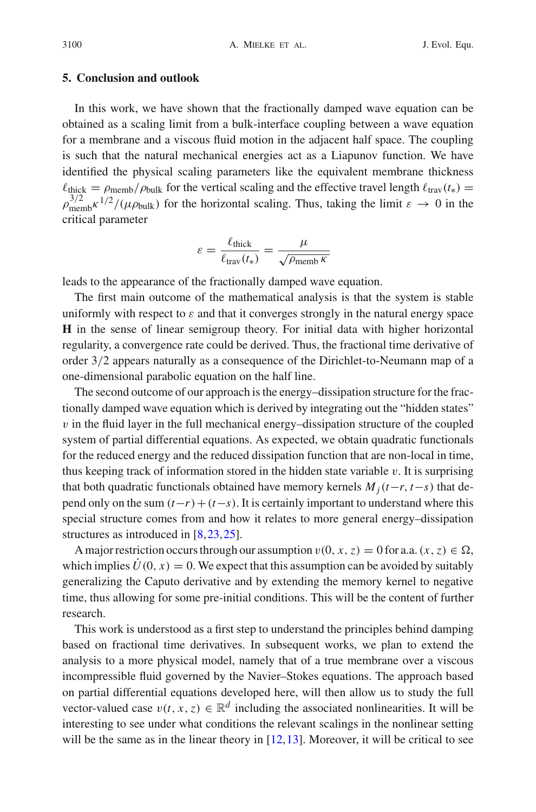## **5. Conclusion and outlook**

In this work, we have shown that the fractionally damped wave equation can be obtained as a scaling limit from a bulk-interface coupling between a wave equation for a membrane and a viscous fluid motion in the adjacent half space. The coupling is such that the natural mechanical energies act as a Liapunov function. We have identified the physical scaling parameters like the equivalent membrane thickness  $\ell_{\text{thick}} = \rho_{\text{mem}}/\rho_{\text{bulk}}$  for the vertical scaling and the effective travel length  $\ell_{\text{trav}}(t_*) =$  $\rho_{\text{memb}}^{3/2} \kappa^{1/2} / (\mu \rho_{\text{bulk}})$  for the horizontal scaling. Thus, taking the limit  $\varepsilon \to 0$  in the critical parameter

$$
\varepsilon = \frac{\ell_{\text{thick}}}{\ell_{\text{trav}}(t_*)} = \frac{\mu}{\sqrt{\rho_{\text{memb}}\,\kappa}}
$$

leads to the appearance of the fractionally damped wave equation.

The first main outcome of the mathematical analysis is that the system is stable uniformly with respect to  $\varepsilon$  and that it converges strongly in the natural energy space **H** in the sense of linear semigroup theory. For initial data with higher horizontal regularity, a convergence rate could be derived. Thus, the fractional time derivative of order 3/2 appears naturally as a consequence of the Dirichlet-to-Neumann map of a one-dimensional parabolic equation on the half line.

The second outcome of our approach is the energy–dissipation structure for the fractionally damped wave equation which is derived by integrating out the "hidden states"  $v$  in the fluid layer in the full mechanical energy–dissipation structure of the coupled system of partial differential equations. As expected, we obtain quadratic functionals for the reduced energy and the reduced dissipation function that are non-local in time, thus keeping track of information stored in the hidden state variable  $v$ . It is surprising that both quadratic functionals obtained have memory kernels  $M_i(t-r, t-s)$  that depend only on the sum  $(t-r)+(t-s)$ . It is certainly important to understand where this special structure comes from and how it relates to more general energy–dissipation structures as introduced in [\[8](#page-22-13)[,23](#page-23-4)[,25](#page-23-8)].

A major restriction occurs through our assumption  $v(0, x, z) = 0$  for a.a.  $(x, z) \in \Omega$ , which implies  $U(0, x) = 0$ . We expect that this assumption can be avoided by suitably generalizing the Caputo derivative and by extending the memory kernel to negative time, thus allowing for some pre-initial conditions. This will be the content of further research.

This work is understood as a first step to understand the principles behind damping based on fractional time derivatives. In subsequent works, we plan to extend the analysis to a more physical model, namely that of a true membrane over a viscous incompressible fluid governed by the Navier–Stokes equations. The approach based on partial differential equations developed here, will then allow us to study the full vector-valued case  $v(t, x, z) \in \mathbb{R}^d$  including the associated nonlinearities. It will be interesting to see under what conditions the relevant scalings in the nonlinear setting will be the same as in the linear theory in  $[12,13]$  $[12,13]$  $[12,13]$ . Moreover, it will be critical to see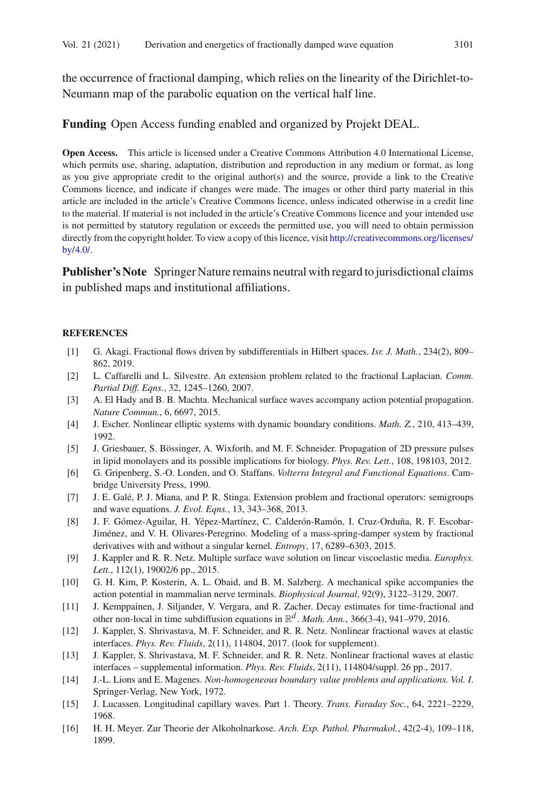the occurrence of fractional damping, which relies on the linearity of the Dirichlet-to-Neumann map of the parabolic equation on the vertical half line.

#### **Funding** Open Access funding enabled and organized by Projekt DEAL.

**Open Access.** This article is licensed under a Creative Commons Attribution 4.0 International License, which permits use, sharing, adaptation, distribution and reproduction in any medium or format, as long as you give appropriate credit to the original author(s) and the source, provide a link to the Creative Commons licence, and indicate if changes were made. The images or other third party material in this article are included in the article's Creative Commons licence, unless indicated otherwise in a credit line to the material. If material is not included in the article's Creative Commons licence and your intended use is not permitted by statutory regulation or exceeds the permitted use, you will need to obtain permission directly from the copyright holder. To view a copy of this licence, visit [http://creativecommons.org/licenses/](http://creativecommons.org/licenses/by/4.0/) [by/4.0/.](http://creativecommons.org/licenses/by/4.0/)

**Publisher's Note** Springer Nature remains neutral with regard to jurisdictional claims in published maps and institutional affiliations.

#### **REFERENCES**

- <span id="page-22-8"></span>[1] G. Akagi. Fractional flows driven by subdifferentials in Hilbert spaces. *Isr. J. Math.*, 234(2), 809– 862, 2019.
- <span id="page-22-11"></span>[2] L. Caffarelli and L. Silvestre. An extension problem related to the fractional Laplacian. *Comm. Partial Diff. Eqns.*, 32, 1245–1260, 2007.
- <span id="page-22-4"></span>[3] A. El Hady and B. B. Machta. Mechanical surface waves accompany action potential propagation. *Nature Commun.*, 6, 6697, 2015.
- <span id="page-22-15"></span>[4] J. Escher. Nonlinear elliptic systems with dynamic boundary conditions. *Math. Z.*, 210, 413–439, 1992.
- <span id="page-22-6"></span>[5] J. Griesbauer, S. Bössinger, A. Wixforth, and M. F. Schneider. Propagation of 2D pressure pulses in lipid monolayers and its possible implications for biology. *Phys. Rev. Lett.*, 108, 198103, 2012.
- <span id="page-22-10"></span>[6] G. Gripenberg, S.-O. Londen, and O. Staffans. *Volterra Integral and Functional Equations*. Cambridge University Press, 1990.
- <span id="page-22-12"></span>[7] J. E. Galé, P. J. Miana, and P. R. Stinga. Extension problem and fractional operators: semigroups and wave equations. *J. Evol. Eqns.*, 13, 343–368, 2013.
- <span id="page-22-13"></span>[8] J. F. Gómez-Aguilar, H. Yépez-Martínez, C. Calderón-Ramón, I. Cruz-Orduña, R. F. Escobar-Jiménez, and V. H. Olivares-Peregrino. Modeling of a mass-spring-damper system by fractional derivatives with and without a singular kernel. *Entropy*, 17, 6289–6303, 2015.
- <span id="page-22-7"></span>[9] J. Kappler and R. R. Netz. Multiple surface wave solution on linear viscoelastic media. *Europhys. Lett.*, 112(1), 19002/6 pp., 2015.
- <span id="page-22-5"></span>[10] G. H. Kim, P. Kosterin, A. L. Obaid, and B. M. Salzberg. A mechanical spike accompanies the action potential in mammalian nerve terminals. *Biophysical Journal*, 92(9), 3122–3129, 2007.
- <span id="page-22-9"></span>[11] J. Kemppainen, J. Siljander, V. Vergara, and R. Zacher. Decay estimates for time-fractional and other non-local in time subdiffusion equations in R*<sup>d</sup>* . *Math. Ann.*, 366(3-4), 941–979, 2016.
- <span id="page-22-0"></span>[12] J. Kappler, S. Shrivastava, M. F. Schneider, and R. R. Netz. Nonlinear fractional waves at elastic interfaces. *Phys. Rev. Fluids*, 2(11), 114804, 2017. (look for supplement).
- <span id="page-22-1"></span>[13] J. Kappler, S. Shrivastava, M. F. Schneider, and R. R. Netz. Nonlinear fractional waves at elastic interfaces – supplemental information. *Phys. Rev. Fluids*, 2(11), 114804/suppl. 26 pp., 2017.
- <span id="page-22-14"></span>[14] J.-L. Lions and E. Magenes. *Non-homogeneous boundary value problems and applications. Vol. I*. Springer-Verlag, New York, 1972.
- <span id="page-22-2"></span>[15] J. Lucassen. Longitudinal capillary waves. Part 1. Theory. *Trans. Faraday Soc.*, 64, 2221–2229, 1968.
- <span id="page-22-3"></span>[16] H. H. Meyer. Zur Theorie der Alkoholnarkose. *Arch. Exp. Pathol. Pharmakol.*, 42(2-4), 109–118, 1899.